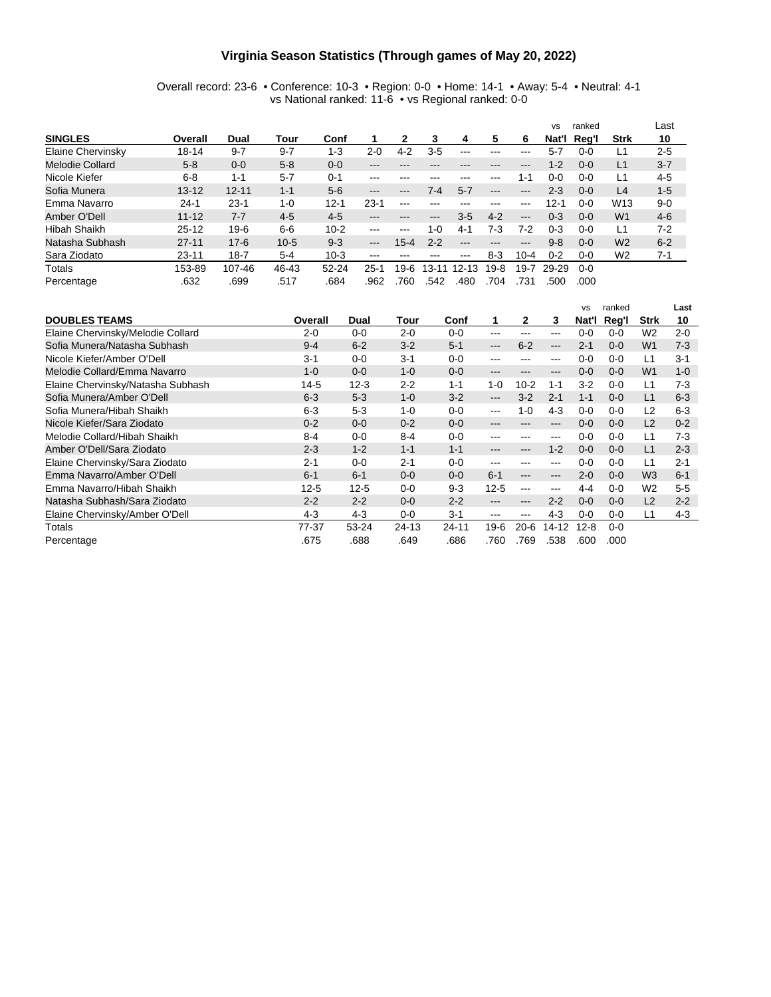#### **Virginia Season Statistics (Through games of May 20, 2022)**

#### Overall record: 23-6 • Conference: 10-3 • Region: 0-0 • Home: 14-1 • Away: 5-4 • Neutral: 4-1 vs National ranked: 11-6 • vs Regional ranked: 0-0

|                     |           |           |         |           |                        |                        |           |                            |                        |                   | <b>VS</b> | ranked  |                 | Last    |
|---------------------|-----------|-----------|---------|-----------|------------------------|------------------------|-----------|----------------------------|------------------------|-------------------|-----------|---------|-----------------|---------|
| <b>SINGLES</b>      | Overall   | Dual      | Tour    | Conf      |                        | 2                      | З         | 4                          | 5                      | 6                 | Nat'l     | Reg'l   | <b>Strk</b>     | 10      |
| Elaine Chervinsky   | $18 - 14$ | $9 - 7$   | $9 - 7$ | $1 - 3$   | $2 - 0$                | $4 - 2$                | $3 - 5$   |                            |                        |                   | $5 - 7$   | $0 - 0$ | L1              | $2 - 5$ |
| Melodie Collard     | $5 - 8$   | $0 - 0$   | $5 - 8$ | $0 - 0$   | $\qquad \qquad \cdots$ |                        |           |                            | ---                    | $- - -$           | $1 - 2$   | $0 - 0$ | L1              | $3 - 7$ |
| Nicole Kiefer       | $6 - 8$   | $1 - 1$   | $5 - 7$ | $0 - 1$   | $-- -$                 | ---                    | ---       | ---                        | $-- -$                 | 1-1               | 0-0       | $0 - 0$ | Ĺ1              | $4-5$   |
| Sofia Munera        | $13 - 12$ | $12 - 11$ | $1 - 1$ | $5-6$     | $\qquad \qquad -$      | $\qquad \qquad \cdots$ | 7-4       | $5 - 7$                    | $\qquad \qquad -$      | $\qquad \qquad -$ | $2 - 3$   | $0 - 0$ | L4              | $1-5$   |
| Emma Navarro        | $24 - 1$  | $23 - 1$  | $1 - 0$ | $12 - 1$  | $23 - 1$               | $- - -$                | ---       |                            | ---                    | $- - -$           | $12 - 1$  | 0-0     | W <sub>13</sub> | $9 - 0$ |
| Amber O'Dell        | $11 - 12$ | $7 - 7$   | $4 - 5$ | $4-5$     | $\qquad \qquad \cdots$ |                        | ---       | $3-5$                      | $4 - 2$                | $\qquad \qquad -$ | $0 - 3$   | $0 - 0$ | W <sub>1</sub>  | $4-6$   |
| <b>Hibah Shaikh</b> | $25 - 12$ | $19-6$    | $6-6$   | $10 - 2$  | $\frac{1}{2}$          | $-- -$                 | 1-0       | 4-1                        | 7-3                    | 7-2               | $0 - 3$   | $0 - 0$ | L1              | $7-2$   |
| Natasha Subhash     | $27 - 11$ | $17 - 6$  | $10-5$  | $9-3$     | $\qquad \qquad -$      | $15 - 4$               | $2 - 2$   | $\qquad \qquad - \qquad -$ | $\qquad \qquad \cdots$ | $\cdots$          | $9 - 8$   | $0 - 0$ | W <sub>2</sub>  | $6 - 2$ |
| Sara Ziodato        | $23 - 11$ | $18 - 7$  | $5 - 4$ | $10-3$    | $-- -$                 |                        | ---       | $-- -$                     | $8 - 3$                | $10-4$            | $0 - 2$   | $0 - 0$ | W <sub>2</sub>  | $7 - 1$ |
| Totals              | 153-89    | 107-46    | 46-43   | $52 - 24$ | $25-1$                 | 19-6                   | $13 - 11$ | $12 - 13$                  | $19-8$                 | $19 - 7$          | 29-29     | $0 - 0$ |                 |         |
| Percentage          | .632      | .699      | .517    | .684      | .962                   | .760                   | .542      | .480                       | .704                   | .731              | .500      | .000    |                 |         |

|                                   |          |          |         |         |                   |          |         | <b>VS</b> | ranked  |                | Last    |
|-----------------------------------|----------|----------|---------|---------|-------------------|----------|---------|-----------|---------|----------------|---------|
| <b>DOUBLES TEAMS</b>              | Overall  | Dual     | Tour    | Conf    | 1                 | 2        | 3       | Nat'l     | Reg'l   | <b>Strk</b>    | 10      |
| Elaine Chervinsky/Melodie Collard | $2 - 0$  | $0 - 0$  | $2 - 0$ | $0 - 0$ | $--$              | ---      | ---     | $0 - 0$   | $0 - 0$ | W <sub>2</sub> | $2 - 0$ |
| Sofia Munera/Natasha Subhash      | $9 - 4$  | $6 - 2$  | $3 - 2$ | $5 - 1$ | $---$             | $6 - 2$  | ---     | $2 - 1$   | $0 - 0$ | W <sub>1</sub> | $7-3$   |
| Nicole Kiefer/Amber O'Dell        | $3 - 1$  | $0 - 0$  | $3 - 1$ | $0 - 0$ | ---               |          | ---     | $0 - 0$   | $0 - 0$ | L1             | $3 - 1$ |
| Melodie Collard/Emma Navarro      | $1 - 0$  | $0 - 0$  | $1 - 0$ | $0 - 0$ | $-- -$            | ---      | ---     | $0 - 0$   | $0 - 0$ | W <sub>1</sub> | $1 - 0$ |
| Elaine Chervinsky/Natasha Subhash | $14 - 5$ | $12 - 3$ | $2 - 2$ | $1 - 1$ | $1 - 0$           | $10-2$   | $1 - 1$ | $3-2$     | $0 - 0$ | L1             | $7-3$   |
| Sofia Munera/Amber O'Dell         | $6 - 3$  | $5-3$    | $1 - 0$ | $3-2$   | $\qquad \qquad -$ | $3-2$    | $2 - 1$ | $1 - 1$   | $0 - 0$ | L1             | $6 - 3$ |
| Sofia Munera/Hibah Shaikh         | $6 - 3$  | $5 - 3$  | $1 - 0$ | $0 - 0$ | $\qquad \qquad -$ | $1 - 0$  | $4 - 3$ | $0 - 0$   | $0 - 0$ | L2             | $6 - 3$ |
| Nicole Kiefer/Sara Ziodato        | $0 - 2$  | $0 - 0$  | $0 - 2$ | $0 - 0$ | $-- -$            | ---      | ---     | $0 - 0$   | $0 - 0$ | L2             | $0 - 2$ |
| Melodie Collard/Hibah Shaikh      | $8 - 4$  | $0 - 0$  | $8 - 4$ | $0 - 0$ | ---               |          | ---     | $0 - 0$   | $0 - 0$ | L1             | $7-3$   |
| Amber O'Dell/Sara Ziodato         | $2 - 3$  | $1 - 2$  | $1 - 1$ | $1 - 1$ | $\qquad \qquad -$ | ---      | $1 - 2$ | $0 - 0$   | $0 - 0$ | L1             | $2 - 3$ |
| Elaine Chervinsky/Sara Ziodato    | $2 - 1$  | $0 - 0$  | 2-1     | $0 - 0$ | $--$              | ---      | ---     | $0 - 0$   | $0 - 0$ | L1             | $2 - 1$ |
| Emma Navarro/Amber O'Dell         | $6 - 1$  | $6 - 1$  | $0 - 0$ | $0 - 0$ | $6 - 1$           | ---      | ---     | $2 - 0$   | $0 - 0$ | W <sub>3</sub> | $6 - 1$ |
| Emma Navarro/Hibah Shaikh         | $12 - 5$ | $12 - 5$ | $0 - 0$ | $9 - 3$ | $12 - 5$          | ---      | ---     | $4 - 4$   | 0-0     | W <sub>2</sub> | $5-5$   |
| Natasha Subhash/Sara Ziodato      | $2 - 2$  | $2 - 2$  | $0 - 0$ | $2 - 2$ | $\qquad \qquad -$ | ---      | $2 - 2$ | $0 - 0$   | $0 - 0$ | L2             | $2 - 2$ |
| Elaine Chervinsky/Amber O'Dell    | $4 - 3$  | $4 - 3$  | $0 - 0$ | $3 - 1$ | $-- -$            | ---      | $4-3$   | $0 - 0$   | 0-0     | l 1            | $4 - 3$ |
| Totals                            | 77-37    | 53-24    | 24-13   | 24-11   | 19-6              | $20 - 6$ | 14-12   | $12 - 8$  | $0 - 0$ |                |         |
| Percentage                        | .675     | .688     | .649    | .686    | .760              | .769     | .538    | .600      | .000    |                |         |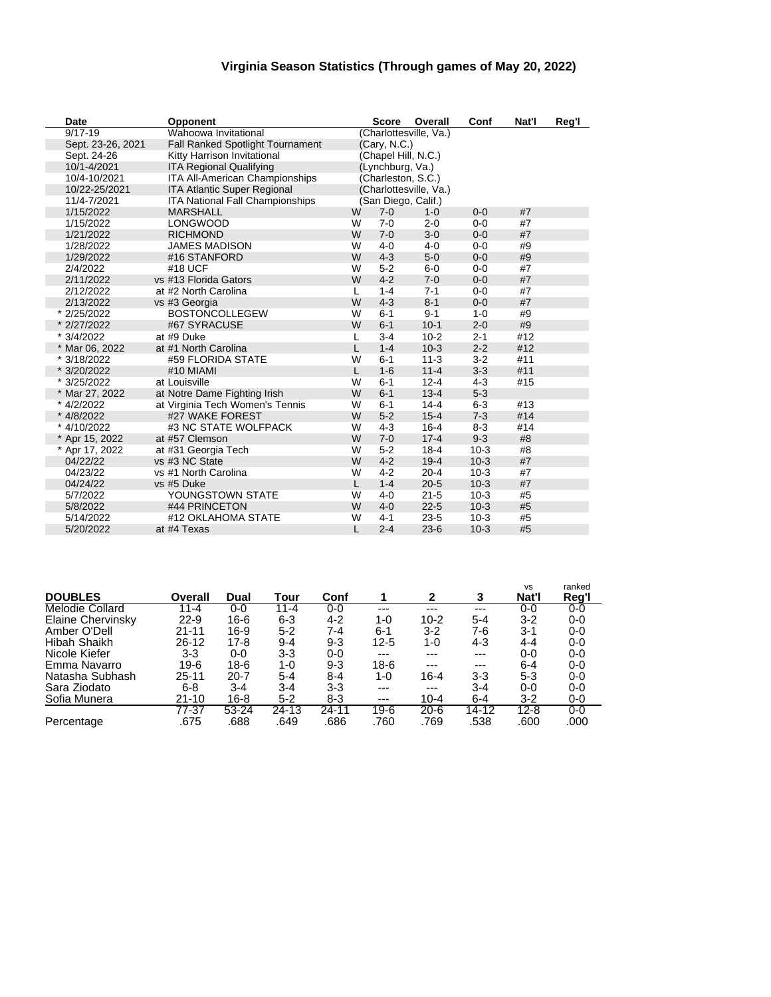### **Virginia Season Statistics (Through games of May 20, 2022)**

| <b>Date</b>       | Opponent                                |   | <b>Score</b>        | Overall                | Conf    | Nat'l | Reg'l |
|-------------------|-----------------------------------------|---|---------------------|------------------------|---------|-------|-------|
| $9/17 - 19$       | Wahoowa Invitational                    |   |                     | (Charlottesville, Va.) |         |       |       |
| Sept. 23-26, 2021 | <b>Fall Ranked Spotlight Tournament</b> |   | (Cary, N.C.)        |                        |         |       |       |
| Sept. 24-26       | Kitty Harrison Invitational             |   | (Chapel Hill, N.C.) |                        |         |       |       |
| 10/1-4/2021       | <b>ITA Regional Qualifying</b>          |   | (Lynchburg, Va.)    |                        |         |       |       |
| 10/4-10/2021      | ITA All-American Championships          |   | (Charleston, S.C.)  |                        |         |       |       |
| 10/22-25/2021     | <b>ITA Atlantic Super Regional</b>      |   |                     | (Charlottesville, Va.) |         |       |       |
| 11/4-7/2021       | ITA National Fall Championships         |   | (San Diego, Calif.) |                        |         |       |       |
| 1/15/2022         | <b>MARSHALL</b>                         | W | $7 - 0$             | $1 - 0$                | $0 - 0$ | #7    |       |
| 1/15/2022         | <b>LONGWOOD</b>                         | W | $7-0$               | $2 - 0$                | $0-0$   | #7    |       |
| 1/21/2022         | <b>RICHMOND</b>                         | W | $7 - 0$             | $3-0$                  | $0 - 0$ | #7    |       |
| 1/28/2022         | <b>JAMES MADISON</b>                    | W | $4 - 0$             | $4 - 0$                | $0-0$   | #9    |       |
| 1/29/2022         | #16 STANFORD                            | W | $4 - 3$             | $5-0$                  | $0 - 0$ | #9    |       |
| 2/4/2022          | #18 UCF                                 | W | $5-2$               | $6-0$                  | $0-0$   | #7    |       |
| 2/11/2022         | vs #13 Florida Gators                   | W | $4 - 2$             | $7-0$                  | $0 - 0$ | #7    |       |
| 2/12/2022         | at #2 North Carolina                    | L | $1 - 4$             | $7 - 1$                | $0-0$   | #7    |       |
| 2/13/2022         | vs #3 Georgia                           | W | $4 - 3$             | $8 - 1$                | $0 - 0$ | #7    |       |
| * 2/25/2022       | <b>BOSTONCOLLEGEW</b>                   | W | $6 - 1$             | $9 - 1$                | $1 - 0$ | #9    |       |
| * 2/27/2022       | #67 SYRACUSE                            | W | $6 - 1$             | $10 - 1$               | $2 - 0$ | #9    |       |
| * 3/4/2022        | at #9 Duke                              | L | $3 - 4$             | $10 - 2$               | $2 - 1$ | #12   |       |
| * Mar 06, 2022    | at #1 North Carolina                    | L | $1 - 4$             | $10-3$                 | $2 - 2$ | #12   |       |
| * 3/18/2022       | #59 FLORIDA STATE                       | W | $6 - 1$             | $11 - 3$               | $3 - 2$ | #11   |       |
| * 3/20/2022       | #10 MIAMI                               | L | $1 - 6$             | $11 - 4$               | $3 - 3$ | #11   |       |
| * 3/25/2022       | at Louisville                           | W | $6 - 1$             | $12 - 4$               | $4 - 3$ | #15   |       |
| * Mar 27, 2022    | at Notre Dame Fighting Irish            | W | $6-1$               | $13 - 4$               | $5 - 3$ |       |       |
| * 4/2/2022        | at Virginia Tech Women's Tennis         | W | $6 - 1$             | $14 - 4$               | $6-3$   | #13   |       |
| * 4/8/2022        | #27 WAKE FOREST                         | W | $5 - 2$             | $15 - 4$               | $7 - 3$ | #14   |       |
| * 4/10/2022       | #3 NC STATE WOLFPACK                    | W | $4 - 3$             | $16 - 4$               | $8 - 3$ | #14   |       |
| * Apr 15, 2022    | at #57 Clemson                          | W | $7 - 0$             | $17 - 4$               | $9 - 3$ | #8    |       |
| * Apr 17, 2022    | at #31 Georgia Tech                     | W | $5 - 2$             | $18 - 4$               | $10-3$  | #8    |       |
| 04/22/22          | vs #3 NC State                          | W | $4 - 2$             | $19 - 4$               | $10-3$  | #7    |       |
| 04/23/22          | vs #1 North Carolina                    | W | $4 - 2$             | $20 - 4$               | $10-3$  | #7    |       |
| 04/24/22          | vs #5 Duke                              | L | $1 - 4$             | $20 - 5$               | $10-3$  | #7    |       |
| 5/7/2022          | YOUNGSTOWN STATE                        | W | $4 - 0$             | $21 - 5$               | $10-3$  | #5    |       |
| 5/8/2022          | #44 PRINCETON                           | W | $4 - 0$             | $22 - 5$               | $10-3$  | #5    |       |
| 5/14/2022         | #12 OKLAHOMA STATE                      | W | $4 - 1$             | $23 - 5$               | $10-3$  | #5    |       |
| 5/20/2022         | at #4 Texas                             | L | $2 - 4$             | $23-6$                 | $10-3$  | #5    |       |

|                          |          |          |         |         |          |              |         | <b>VS</b> | ranked |
|--------------------------|----------|----------|---------|---------|----------|--------------|---------|-----------|--------|
| <b>DOUBLES</b>           | Overall  | Dual     | Tour    | Conf    |          | $\mathbf{2}$ | 3       | Nat'l     | Reg'l  |
| <b>Melodie Collard</b>   | $11 - 4$ | $0 - 0$  | 11-4    | $0 - 0$ | $---$    | ---          | $---$   | $0-0$     | 0-0    |
| <b>Elaine Chervinsky</b> | $22-9$   | 16-6     | 6-3     | 4-2     | 1-0      | $10 - 2$     | 5-4     | $3-2$     | 0-0    |
| Amber O'Dell             | 21-11    | 16-9     | $5 - 2$ | 7-4     | 6-1      | 3-2          | 7-6     | $3-1$     | 0-0    |
| Hibah Shaikh             | 26-12    | 17-8     | $9 - 4$ | $9 - 3$ | $12 - 5$ | 1-0          | 4-3     | $4 - 4$   | 0-0    |
| Nicole Kiefer            | 3-3      | $0 - 0$  | 3-3     | $0 - 0$ | $---$    | ---          | ---     | $0 - 0$   | 0-0    |
| Emma Navarro             | 19-6     | 18-6     | 1-0     | $9 - 3$ | 18-6     | ---          | $---$   | $6 - 4$   | 0-0    |
| Natasha Subhash          | 25-11    | $20 - 7$ | $5 - 4$ | 8-4     | 1-0      | $16 - 4$     | $3 - 3$ | $5 - 3$   | 0-0    |
| Sara Ziodato             | 6-8      | 3-4      | $3 - 4$ | 3-3     | $---$    | $---$        | $3 - 4$ | $0 - 0$   | 0-0    |
| Sofia Munera             | 21-10    | 16-8     | $5 - 2$ | 8-3     | $---$    | $10 - 4$     | $6 - 4$ | $3-2$     | $0-0$  |
|                          | 77-37    | 53-24    | 24-13   | 24-11   | 19-6     | $20 - 6$     | 14-12   | $12 - 8$  | $0-0$  |
| Percentage               | .675     | .688     | .649    | .686    | .760     | .769         | .538    | .600      | .000   |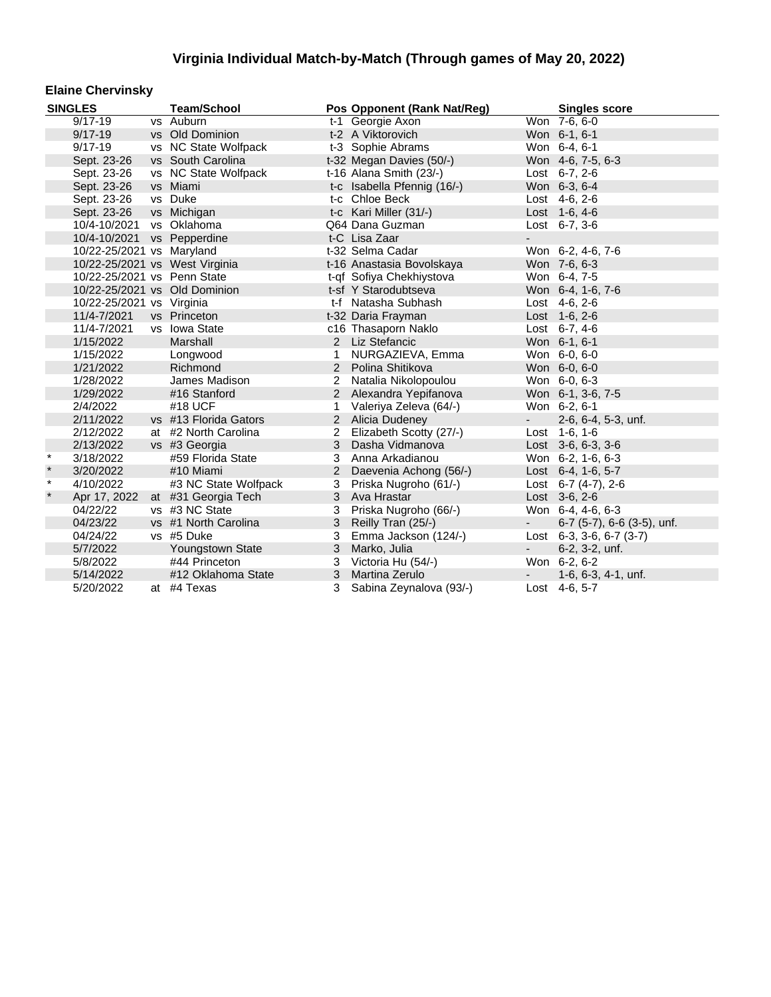#### **Elaine Chervinsky**

|         | <b>SINGLES</b>              | <b>Team/School</b>             |                | Pos Opponent (Rank Nat/Reg) |                          | <b>Singles score</b>               |
|---------|-----------------------------|--------------------------------|----------------|-----------------------------|--------------------------|------------------------------------|
|         | $9/17 - 19$                 | vs Auburn                      |                | t-1 Georgie Axon            |                          | Won 7-6, 6-0                       |
|         | $9/17 - 19$                 | vs Old Dominion                |                | t-2 A Viktorovich           |                          | Won 6-1, 6-1                       |
|         | $9/17 - 19$                 | vs NC State Wolfpack           |                | t-3 Sophie Abrams           |                          | Won 6-4, 6-1                       |
|         | Sept. 23-26                 | vs South Carolina              |                | t-32 Megan Davies (50/-)    |                          | Won 4-6, 7-5, 6-3                  |
|         | Sept. 23-26                 | vs NC State Wolfpack           |                | t-16 Alana Smith (23/-)     |                          | Lost $6-7, 2-6$                    |
|         | Sept. 23-26                 | vs Miami                       |                | t-c Isabella Pfennig (16/-) |                          | Won 6-3, 6-4                       |
|         | Sept. 23-26                 | vs Duke                        |                | t-c Chloe Beck              |                          | Lost 4-6, 2-6                      |
|         | Sept. 23-26                 | vs Michigan                    |                | t-c Kari Miller (31/-)      |                          | Lost 1-6, 4-6                      |
|         | 10/4-10/2021 vs Oklahoma    |                                |                | Q64 Dana Guzman             |                          | Lost 6-7, 3-6                      |
|         | 10/4-10/2021 vs Pepperdine  |                                |                | t-C Lisa Zaar               |                          |                                    |
|         | 10/22-25/2021 vs Maryland   |                                |                | t-32 Selma Cadar            |                          | Won 6-2, 4-6, 7-6                  |
|         |                             | 10/22-25/2021 vs West Virginia |                | t-16 Anastasia Bovolskaya   |                          | Won 7-6, 6-3                       |
|         | 10/22-25/2021 vs Penn State |                                |                | t-qf Sofiya Chekhiystova    |                          | Won 6-4, 7-5                       |
|         |                             | 10/22-25/2021 vs Old Dominion  |                | t-sf Y Starodubtseva        |                          | Won 6-4, 1-6, 7-6                  |
|         | 10/22-25/2021 vs Virginia   |                                |                | t-f Natasha Subhash         |                          | Lost 4-6, 2-6                      |
|         | 11/4-7/2021                 | vs Princeton                   |                | t-32 Daria Frayman          |                          | Lost 1-6, 2-6                      |
|         | 11/4-7/2021                 | vs Iowa State                  |                | c16 Thasaporn Naklo         |                          | Lost 6-7, 4-6                      |
|         | 1/15/2022                   | Marshall                       |                | 2 Liz Stefancic             |                          | Won 6-1, 6-1                       |
|         | 1/15/2022                   | Longwood                       | 1              | NURGAZIEVA, Emma            |                          | Won 6-0, 6-0                       |
|         | 1/21/2022                   | Richmond                       |                | 2 Polina Shitikova          |                          | Won 6-0, 6-0                       |
|         | 1/28/2022                   | James Madison                  | $\overline{2}$ | Natalia Nikolopoulou        |                          | Won 6-0, 6-3                       |
|         | 1/29/2022                   | #16 Stanford                   |                | 2 Alexandra Yepifanova      |                          | Won 6-1, 3-6, 7-5                  |
|         | 2/4/2022                    | #18 UCF                        | 1.             | Valeriya Zeleva (64/-)      |                          | Won 6-2, 6-1                       |
|         | 2/11/2022                   | vs #13 Florida Gators          |                | 2 Alicia Dudeney            | $\sim$                   | 2-6, 6-4, 5-3, unf.                |
|         | 2/12/2022                   | at #2 North Carolina           | 2              | Elizabeth Scotty (27/-)     |                          | Lost 1-6, 1-6                      |
|         | 2/13/2022                   | vs #3 Georgia                  | 3              | Dasha Vidmanova             |                          | Lost 3-6, 6-3, 3-6                 |
| $\star$ | 3/18/2022                   | #59 Florida State              | 3              | Anna Arkadianou             |                          | Won 6-2, 1-6, 6-3                  |
| $\star$ | 3/20/2022                   | #10 Miami                      | $\overline{2}$ | Daevenia Achong (56/-)      |                          | Lost 6-4, 1-6, 5-7                 |
| $\star$ | 4/10/2022                   | #3 NC State Wolfpack           | 3              | Priska Nugroho (61/-)       |                          | Lost $6-7$ (4-7), 2-6              |
| $\star$ | Apr 17, 2022                | at #31 Georgia Tech            |                | 3 Ava Hrastar               |                          | Lost 3-6, 2-6                      |
|         | 04/22/22                    | vs #3 NC State                 | 3              | Priska Nugroho (66/-)       |                          | Won 6-4, 4-6, 6-3                  |
|         | 04/23/22                    | vs #1 North Carolina           | 3              | Reilly Tran (25/-)          | $\sim 100$               | $6-7$ (5-7), $6-6$ (3-5), unf.     |
|         | 04/24/22                    | vs #5 Duke                     | 3              | Emma Jackson (124/-)        |                          | Lost $6-3$ , $3-6$ , $6-7$ $(3-7)$ |
|         | 5/7/2022                    | Youngstown State               | 3              | Marko, Julia                | $\sim$                   | 6-2, 3-2, unf.                     |
|         | 5/8/2022                    | #44 Princeton                  | 3              | Victoria Hu (54/-)          |                          | Won 6-2, 6-2                       |
|         | 5/14/2022                   | #12 Oklahoma State             | 3              | <b>Martina Zerulo</b>       | $\overline{\phantom{a}}$ | $1-6, 6-3, 4-1, \text{unf.}$       |
|         | 5/20/2022                   | at #4 Texas                    | 3              | Sabina Zeynalova (93/-)     |                          | Lost 4-6, 5-7                      |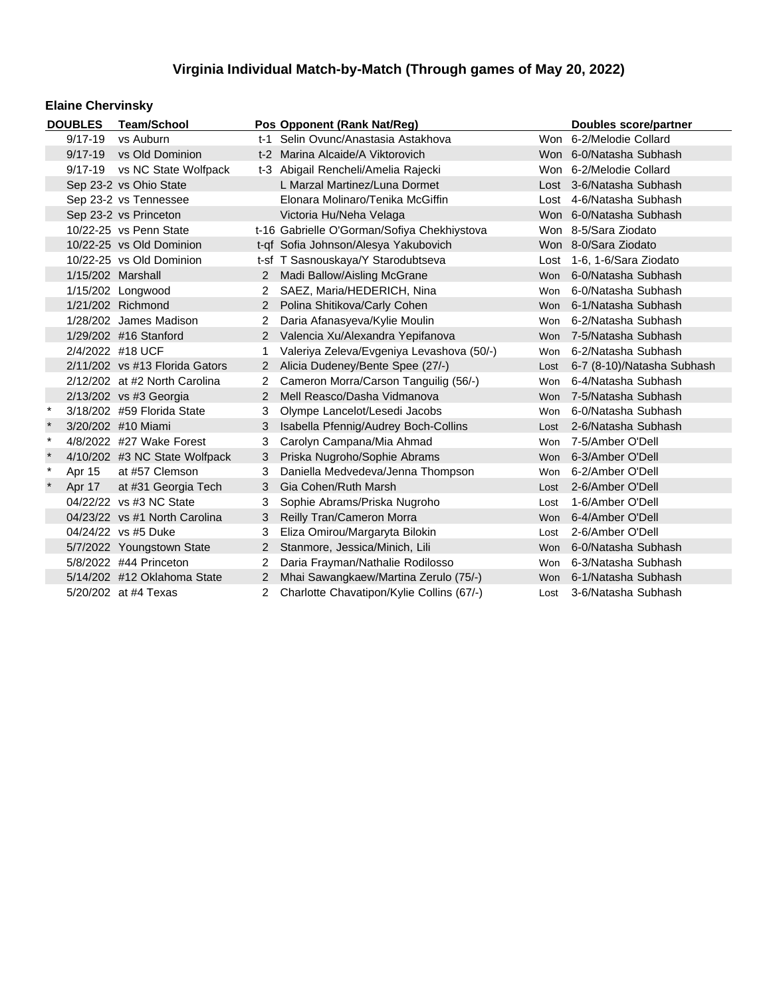### **Elaine Chervinsky**

|                      | <b>DOUBLES</b>                                                               | <b>Team/School</b>               |                                       | Pos Opponent (Rank Nat/Reg)                 |                     | Doubles score/partner      |
|----------------------|------------------------------------------------------------------------------|----------------------------------|---------------------------------------|---------------------------------------------|---------------------|----------------------------|
|                      | $9/17 - 19$                                                                  | vs Auburn                        |                                       | t-1 Selin Ovunc/Anastasia Astakhova         |                     | Won 6-2/Melodie Collard    |
|                      | $9/17 - 19$                                                                  | vs Old Dominion                  |                                       | t-2 Marina Alcaide/A Viktorovich            |                     | Won 6-0/Natasha Subhash    |
|                      | $9/17 - 19$                                                                  | vs NC State Wolfpack             | t-3 Abigail Rencheli/Amelia Rajecki   |                                             |                     | Won 6-2/Melodie Collard    |
|                      |                                                                              | Sep 23-2 vs Ohio State           |                                       | L Marzal Martinez/Luna Dormet               |                     | Lost 3-6/Natasha Subhash   |
|                      |                                                                              | Sep 23-2 vs Tennessee            |                                       | Elonara Molinaro/Tenika McGiffin            |                     | Lost 4-6/Natasha Subhash   |
|                      |                                                                              | Sep 23-2 vs Princeton            |                                       | Victoria Hu/Neha Velaga                     |                     | Won 6-0/Natasha Subhash    |
|                      |                                                                              | 10/22-25 vs Penn State           |                                       | t-16 Gabrielle O'Gorman/Sofiya Chekhiystova |                     | Won 8-5/Sara Ziodato       |
|                      |                                                                              | 10/22-25 vs Old Dominion         |                                       | t-qf Sofia Johnson/Alesya Yakubovich        |                     | Won 8-0/Sara Ziodato       |
|                      |                                                                              | 10/22-25 vs Old Dominion         |                                       | t-sf T Sasnouskaya/Y Starodubtseva          |                     | Lost 1-6, 1-6/Sara Ziodato |
|                      | 1/15/202 Marshall                                                            |                                  |                                       | Madi Ballow/Aisling McGrane                 | <b>Won</b>          | 6-0/Natasha Subhash        |
|                      |                                                                              | 1/15/202 Longwood                | $\mathbf{2}^{\circ}$                  | SAEZ, Maria/HEDERICH, Nina                  | Won                 | 6-0/Natasha Subhash        |
|                      |                                                                              | 1/21/202 Richmond                | $2^{\circ}$                           | Polina Shitikova/Carly Cohen                | <b>Won</b>          | 6-1/Natasha Subhash        |
|                      |                                                                              | 1/28/202 James Madison           | $\mathbf{2}^{\circ}$                  | Daria Afanasyeva/Kylie Moulin               | Won                 | 6-2/Natasha Subhash        |
|                      |                                                                              | 1/29/202 #16 Stanford            |                                       | 2 Valencia Xu/Alexandra Yepifanova          | <b>Won</b>          | 7-5/Natasha Subhash        |
|                      | 2/4/2022 #18 UCF                                                             |                                  |                                       | Valeriya Zeleva/Evgeniya Levashova (50/-)   | <b>Won</b>          | 6-2/Natasha Subhash        |
|                      |                                                                              | $2/11/202$ vs #13 Florida Gators | $\mathbf{2}^{\circ}$                  | Alicia Dudeney/Bente Spee (27/-)            | Lost                | 6-7 (8-10)/Natasha Subhash |
|                      |                                                                              | 2/12/202 at #2 North Carolina    | $\mathbf{2}$                          | Cameron Morra/Carson Tanguilig (56/-)       | Won                 | 6-4/Natasha Subhash        |
|                      |                                                                              | 2/13/202 vs #3 Georgia           |                                       | Mell Reasco/Dasha Vidmanova                 | <b>Won</b>          | 7-5/Natasha Subhash        |
| $\ast$               |                                                                              | 3/18/202 #59 Florida State       | 3                                     | Olympe Lancelot/Lesedi Jacobs               | Won                 | 6-0/Natasha Subhash        |
|                      |                                                                              | 3/20/202 #10 Miami               | 3                                     | Isabella Pfennig/Audrey Boch-Collins        | Lost                | 2-6/Natasha Subhash        |
| $\ast$               |                                                                              | 4/8/2022 #27 Wake Forest         | 3                                     | Carolyn Campana/Mia Ahmad                   | Won                 | 7-5/Amber O'Dell           |
| $\star$              |                                                                              | 4/10/202 #3 NC State Wolfpack    | 3                                     | Priska Nugroho/Sophie Abrams                | <b>Won</b>          | 6-3/Amber O'Dell           |
| $\star$              | Apr 15                                                                       | at #57 Clemson                   | 3                                     | Daniella Medvedeva/Jenna Thompson           | Won                 | 6-2/Amber O'Dell           |
|                      | Apr 17                                                                       | at #31 Georgia Tech              | 3                                     | Gia Cohen/Ruth Marsh                        | Lost                | 2-6/Amber O'Dell           |
|                      |                                                                              | 04/22/22 vs #3 NC State          | 3                                     | Sophie Abrams/Priska Nugroho                | Lost                | 1-6/Amber O'Dell           |
|                      |                                                                              | 04/23/22 vs #1 North Carolina    | 3                                     | Reilly Tran/Cameron Morra                   | <b>Won</b>          | 6-4/Amber O'Dell           |
|                      |                                                                              | 04/24/22 vs #5 Duke              | 3                                     | Eliza Omirou/Margaryta Bilokin              | Lost                | 2-6/Amber O'Dell           |
|                      |                                                                              | 5/7/2022 Youngstown State        | 2                                     | Stanmore, Jessica/Minich, Lili              | <b>Won</b>          | 6-0/Natasha Subhash        |
|                      | 5/8/2022 #44 Princeton<br>$\overline{2}$<br>Daria Frayman/Nathalie Rodilosso |                                  |                                       | Won                                         | 6-3/Natasha Subhash |                            |
|                      | 5/14/202 #12 Oklahoma State                                                  |                                  | Mhai Sawangkaew/Martina Zerulo (75/-) | <b>Won</b>                                  | 6-1/Natasha Subhash |                            |
| 5/20/202 at #4 Texas |                                                                              |                                  | $\overline{2}$                        | Charlotte Chavatipon/Kylie Collins (67/-)   | Lost                | 3-6/Natasha Subhash        |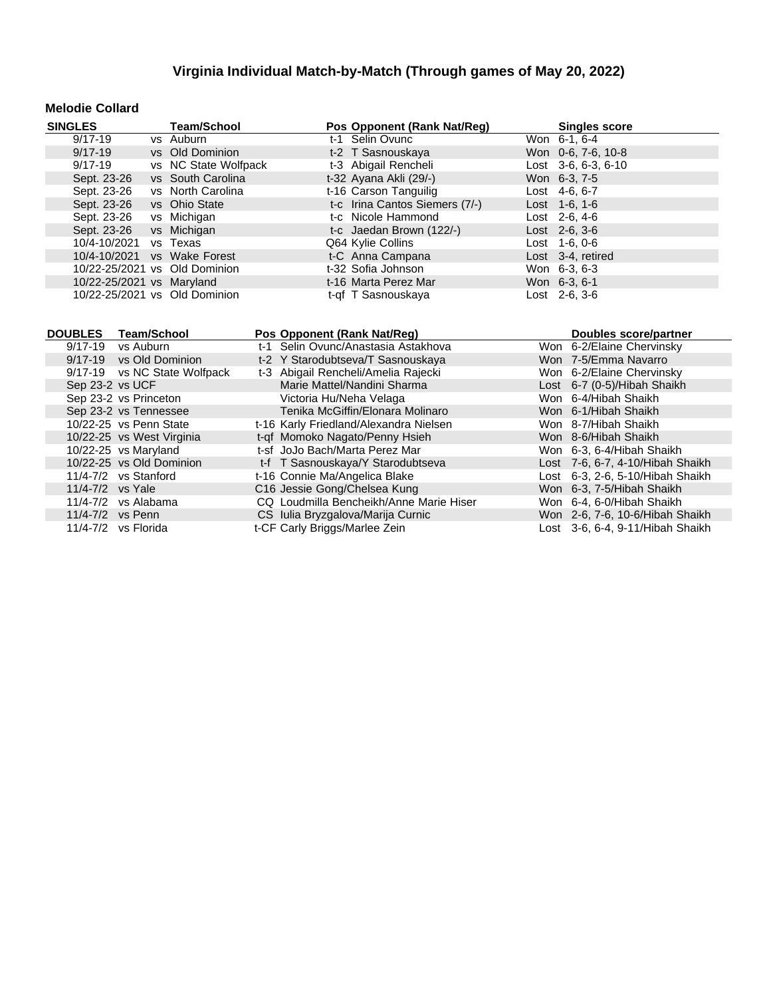### **Melodie Collard**

| <b>SINGLES</b>                | <b>Team/School</b>   | Pos Opponent (Rank Nat/Reg)    | <b>Singles score</b>  |
|-------------------------------|----------------------|--------------------------------|-----------------------|
| $9/17 - 19$                   | vs Auburn            | t-1 Selin Ovunc                | Won 6-1, 6-4          |
| $9/17 - 19$                   | vs Old Dominion      | t-2 T Sasnouskaya              | Won 0-6, 7-6, 10-8    |
| $9/17 - 19$                   | vs NC State Wolfpack | t-3 Abigail Rencheli           | Lost $3-6, 6-3, 6-10$ |
| Sept. 23-26                   | vs South Carolina    | t-32 Ayana Akli (29/-)         | Won 6-3, 7-5          |
| Sept. 23-26                   | vs North Carolina    | t-16 Carson Tanguilig          | Lost $4-6, 6-7$       |
| Sept. 23-26                   | vs Ohio State        | t-c Irina Cantos Siemers (7/-) | $Last \t1-6, 1-6$     |
| Sept. 23-26                   | vs Michigan          | t-c Nicole Hammond             | Lost $2-6, 4-6$       |
| Sept. 23-26                   | vs Michigan          | t-c Jaedan Brown (122/-)       | $Last \, 2-6, 3-6$    |
| 10/4-10/2021                  | vs Texas             | Q64 Kylie Collins              | $Last 1-6, 0-6$       |
| 10/4-10/2021                  | vs Wake Forest       | t-C Anna Campana               | Lost 3-4, retired     |
| 10/22-25/2021 vs Old Dominion |                      | t-32 Sofia Johnson             | Won 6-3, 6-3          |
| 10/22-25/2021 vs Maryland     |                      | t-16 Marta Perez Mar           | Won 6-3, 6-1          |
| 10/22-25/2021 vs Old Dominion |                      | t-qf T Sasnouskaya             | Lost 2-6, 3-6         |

| <b>DOUBLES</b> | <b>Team/School</b>           |                                     | Pos Opponent (Rank Nat/Reg)             |                           | <b>Doubles score/partner</b>     |
|----------------|------------------------------|-------------------------------------|-----------------------------------------|---------------------------|----------------------------------|
| $9/17 - 19$    | vs Auburn                    | t-1 Selin Ovunc/Anastasia Astakhova |                                         | Won 6-2/Elaine Chervinsky |                                  |
|                | 9/17-19 vs Old Dominion      |                                     | t-2 Y Starodubtseva/T Sasnouskaya       |                           | Won 7-5/Emma Navarro             |
|                | 9/17-19 vs NC State Wolfpack |                                     | t-3 Abigail Rencheli/Amelia Rajecki     |                           | Won 6-2/Elaine Chervinsky        |
|                | Sep 23-2 vs UCF              |                                     | Marie Mattel/Nandini Sharma             |                           | Lost 6-7 (0-5)/Hibah Shaikh      |
|                | Sep 23-2 vs Princeton        |                                     | Victoria Hu/Neha Velaga                 |                           | Won 6-4/Hibah Shaikh             |
|                | Sep 23-2 vs Tennessee        |                                     | Tenika McGiffin/Elonara Molinaro        |                           | Won 6-1/Hibah Shaikh             |
|                | 10/22-25 vs Penn State       |                                     | t-16 Karly Friedland/Alexandra Nielsen  |                           | Won 8-7/Hibah Shaikh             |
|                | 10/22-25 vs West Virginia    |                                     | t-qf Momoko Nagato/Penny Hsieh          |                           | Won 8-6/Hibah Shaikh             |
|                | 10/22-25 vs Maryland         |                                     | t-sf JoJo Bach/Marta Perez Mar          |                           | Won 6-3, 6-4/Hibah Shaikh        |
|                | 10/22-25 vs Old Dominion     |                                     | t-f T Sasnouskaya/Y Starodubtseva       |                           | Lost 7-6, 6-7, 4-10/Hibah Shaikh |
|                | $11/4 - 7/2$ vs Stanford     |                                     | t-16 Connie Ma/Angelica Blake           |                           | Lost 6-3, 2-6, 5-10/Hibah Shaikh |
|                | 11/4-7/2 vs Yale             |                                     | C16 Jessie Gong/Chelsea Kung            |                           | Won 6-3, 7-5/Hibah Shaikh        |
|                | $11/4 - 7/2$ vs Alabama      |                                     | CQ Loudmilla Bencheikh/Anne Marie Hiser |                           | Won 6-4, 6-0/Hibah Shaikh        |
|                | 11/4-7/2 vs Penn             |                                     | CS Iulia Bryzgalova/Marija Curnic       |                           | Won 2-6, 7-6, 10-6/Hibah Shaikh  |
|                | 11/4-7/2 vs Florida          |                                     | t-CF Carly Briggs/Marlee Zein           |                           | Lost 3-6, 6-4, 9-11/Hibah Shaikh |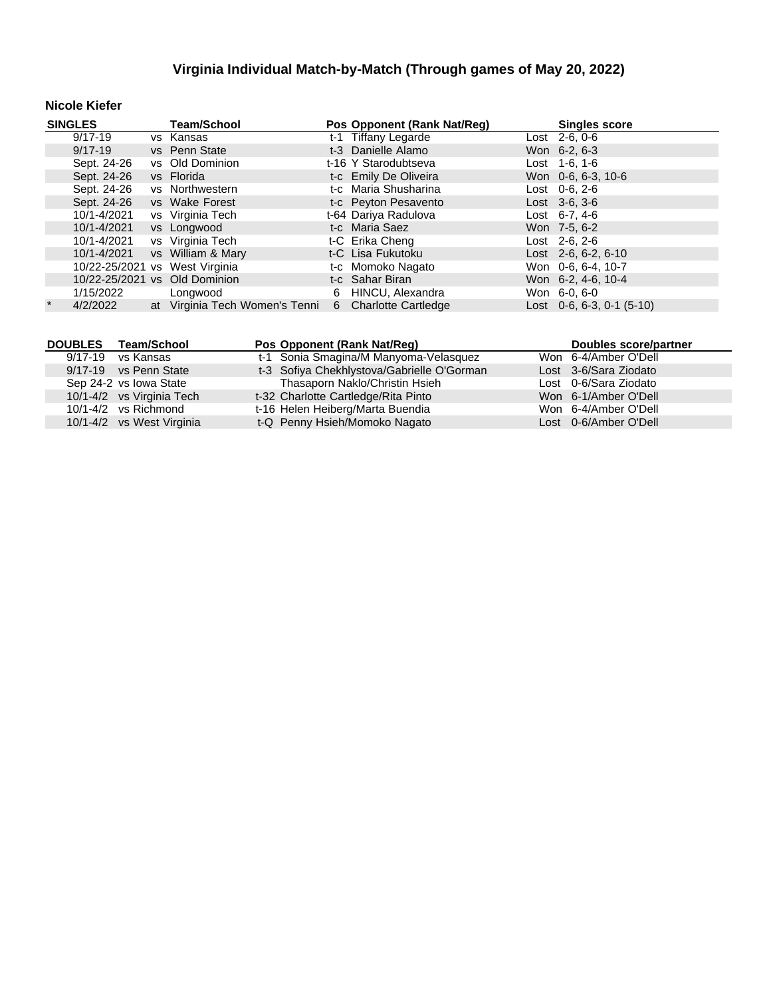### **Nicole Kiefer**

| <b>SINGLES</b> |             | <b>Team/School</b>             |   | Pos Opponent (Rank Nat/Reg) | <b>Singles score</b>              |  |  |
|----------------|-------------|--------------------------------|---|-----------------------------|-----------------------------------|--|--|
|                | 9/17-19     | vs Kansas                      |   | t-1 Tiffany Legarde         | $\overline{\text{Last}}$ 2-6, 0-6 |  |  |
|                | $9/17 - 19$ | vs Penn State                  |   | t-3 Danielle Alamo          | Won 6-2, 6-3                      |  |  |
|                | Sept. 24-26 | vs Old Dominion                |   | t-16 Y Starodubtseva        | Lost $1-6$ , $1-6$                |  |  |
|                | Sept. 24-26 | vs Florida                     |   | t-c Emily De Oliveira       | Won 0-6, 6-3, 10-6                |  |  |
|                | Sept. 24-26 | vs Northwestern                |   | t-c Maria Shusharina        | Lost $0-6, 2-6$                   |  |  |
|                | Sept. 24-26 | vs Wake Forest                 |   | t-c Peyton Pesavento        | $Last \, 3-6, 3-6$                |  |  |
|                | 10/1-4/2021 | vs Virginia Tech               |   | t-64 Dariya Radulova        | Lost $6-7.4-6$                    |  |  |
|                | 10/1-4/2021 | vs Longwood                    |   | t-c Maria Saez              | Won 7-5, 6-2                      |  |  |
|                | 10/1-4/2021 | vs Virginia Tech               |   | t-C Erika Cheng             | $Last 2-6, 2-6$                   |  |  |
|                | 10/1-4/2021 | vs William & Mary              |   | t-C Lisa Fukutoku           | Lost $2-6, 6-2, 6-10$             |  |  |
|                |             | 10/22-25/2021 vs West Virginia |   | t-c Momoko Nagato           | Won 0-6, 6-4, 10-7                |  |  |
|                |             | 10/22-25/2021 vs Old Dominion  |   | t-c Sahar Biran             | Won 6-2, 4-6, 10-4                |  |  |
|                | 1/15/2022   | Longwood                       | 6 | HINCU, Alexandra            | Won 6-0, 6-0                      |  |  |
| $\star$        | 4/2/2022    | at Virginia Tech Women's Tenni |   | 6 Charlotte Cartledge       | Lost $0-6$ , 6-3, 0-1 (5-10)      |  |  |

|         | DOUBLES Team/School       | Pos Opponent (Rank Nat/Req)                | Doubles score/partner |
|---------|---------------------------|--------------------------------------------|-----------------------|
| 9/17-19 | vs Kansas                 | t-1 Sonia Smagina/M Manyoma-Velasquez      | Won 6-4/Amber O'Dell  |
|         | 9/17-19 vs Penn State     | t-3 Sofiya Chekhlystova/Gabrielle O'Gorman | Lost 3-6/Sara Ziodato |
|         | Sep 24-2 vs Iowa State    | Thasaporn Naklo/Christin Hsieh             | Lost 0-6/Sara Ziodato |
|         | 10/1-4/2 vs Virginia Tech | t-32 Charlotte Cartledge/Rita Pinto        | Won 6-1/Amber O'Dell  |
|         | $10/1 - 4/2$ vs Richmond  | t-16 Helen Heiberg/Marta Buendia           | Won 6-4/Amber O'Dell  |
|         | 10/1-4/2 vs West Virginia | t-Q Penny Hsieh/Momoko Nagato              | Lost 0-6/Amber O'Dell |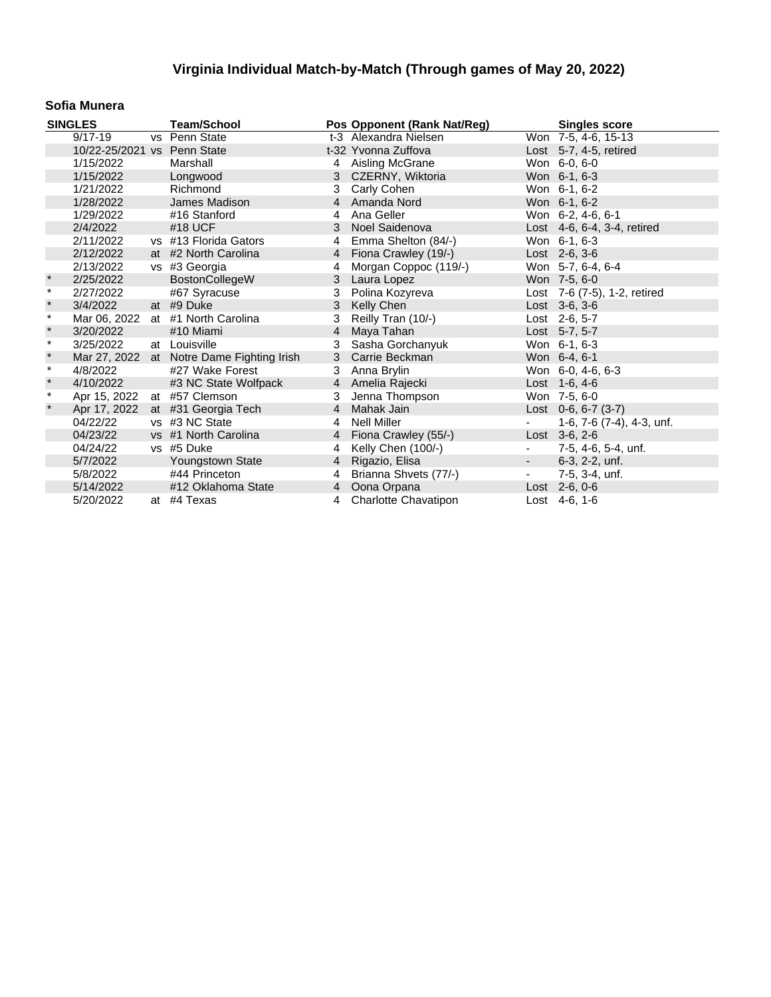#### **Sofia Munera**

|               | <b>SINGLES</b>              | <b>Team/School</b>           |                | Pos Opponent (Rank Nat/Reg) |                          | <b>Singles score</b>         |
|---------------|-----------------------------|------------------------------|----------------|-----------------------------|--------------------------|------------------------------|
|               | $9/17 - 19$                 | vs Penn State                |                | t-3 Alexandra Nielsen       |                          | Won 7-5, 4-6, 15-13          |
|               | 10/22-25/2021 vs Penn State |                              |                | t-32 Yvonna Zuffova         |                          | Lost $5-7$ , 4-5, retired    |
|               | 1/15/2022                   | Marshall                     | 4              | Aisling McGrane             |                          | Won 6-0, 6-0                 |
|               | 1/15/2022                   | Longwood                     | 3              | CZERNY, Wiktoria            |                          | Won 6-1, 6-3                 |
|               | 1/21/2022                   | Richmond                     | 3              | Carly Cohen                 |                          | Won 6-1, 6-2                 |
|               | 1/28/2022                   | James Madison                | $\overline{4}$ | Amanda Nord                 |                          | Won 6-1, 6-2                 |
|               | 1/29/2022                   | #16 Stanford                 | 4              | Ana Geller                  |                          | Won 6-2, 4-6, 6-1            |
|               | 2/4/2022                    | #18 UCF                      | 3              | Noel Saidenova              |                          | Lost 4-6, 6-4, 3-4, retired  |
|               | 2/11/2022                   | vs #13 Florida Gators        | 4              | Emma Shelton (84/-)         |                          | Won 6-1, 6-3                 |
|               | 2/12/2022                   | at #2 North Carolina         | $\overline{4}$ | Fiona Crawley (19/-)        |                          | Lost $2-6, 3-6$              |
|               | 2/13/2022                   | vs #3 Georgia                | 4              | Morgan Coppoc (119/-)       |                          | Won 5-7, 6-4, 6-4            |
| $\star$       | 2/25/2022                   | <b>BostonCollegeW</b>        | 3              | Laura Lopez                 |                          | Won 7-5, 6-0                 |
| $\star$       | 2/27/2022                   | #67 Syracuse                 | 3              | Polina Kozyreva             |                          | Lost 7-6 (7-5), 1-2, retired |
| $\star$       | 3/4/2022                    | at #9 Duke                   | 3              | Kelly Chen                  |                          | Lost 3-6, 3-6                |
| $\pmb{\star}$ | Mar 06, 2022                | at #1 North Carolina         | 3              | Reilly Tran (10/-)          |                          | Lost 2-6, 5-7                |
| $\star$       | 3/20/2022                   | #10 Miami                    | 4              | Maya Tahan                  |                          | Lost 5-7, 5-7                |
| $\pmb{\star}$ | 3/25/2022                   | at Louisville                | 3              | Sasha Gorchanyuk            |                          | Won 6-1, 6-3                 |
| $\star$       | Mar 27, 2022                | at Notre Dame Fighting Irish | 3              | Carrie Beckman              |                          | Won 6-4, 6-1                 |
| $\star$       | 4/8/2022                    | #27 Wake Forest              | 3              | Anna Brylin                 |                          | Won 6-0, 4-6, 6-3            |
| $\star$       | 4/10/2022                   | #3 NC State Wolfpack         |                | 4 Amelia Rajecki            |                          | Lost $1-6, 4-6$              |
| $\star$       | Apr 15, 2022 at #57 Clemson |                              | 3              | Jenna Thompson              |                          | Won 7-5, 6-0                 |
| $\pmb{\ast}$  | Apr 17, 2022                | at #31 Georgia Tech          | $\overline{4}$ | Mahak Jain                  |                          | Lost $0-6, 6-7(3-7)$         |
|               | 04/22/22                    | vs #3 NC State               | 4              | <b>Nell Miller</b>          |                          | 1-6, 7-6 (7-4), 4-3, unf.    |
|               | 04/23/22                    | vs #1 North Carolina         | $\overline{4}$ | Fiona Crawley (55/-)        |                          | $Last \, 3-6, 2-6$           |
|               | 04/24/22                    | vs #5 Duke                   | 4              | Kelly Chen (100/-)          | $\overline{\phantom{a}}$ | 7-5, 4-6, 5-4, unf.          |
|               | 5/7/2022                    | Youngstown State             | 4              | Rigazio, Elisa              | $\sim 100$               | 6-3, 2-2, unf.               |
|               | 5/8/2022                    | #44 Princeton                | 4              | Brianna Shvets (77/-)       | $\overline{\phantom{a}}$ | 7-5, 3-4, unf.               |
|               | 5/14/2022                   | #12 Oklahoma State           |                | 4 Oona Orpana               |                          | Lost 2-6, 0-6                |
|               | 5/20/2022                   | at #4 Texas                  | 4              | <b>Charlotte Chavatipon</b> |                          | Lost $4-6, 1-6$              |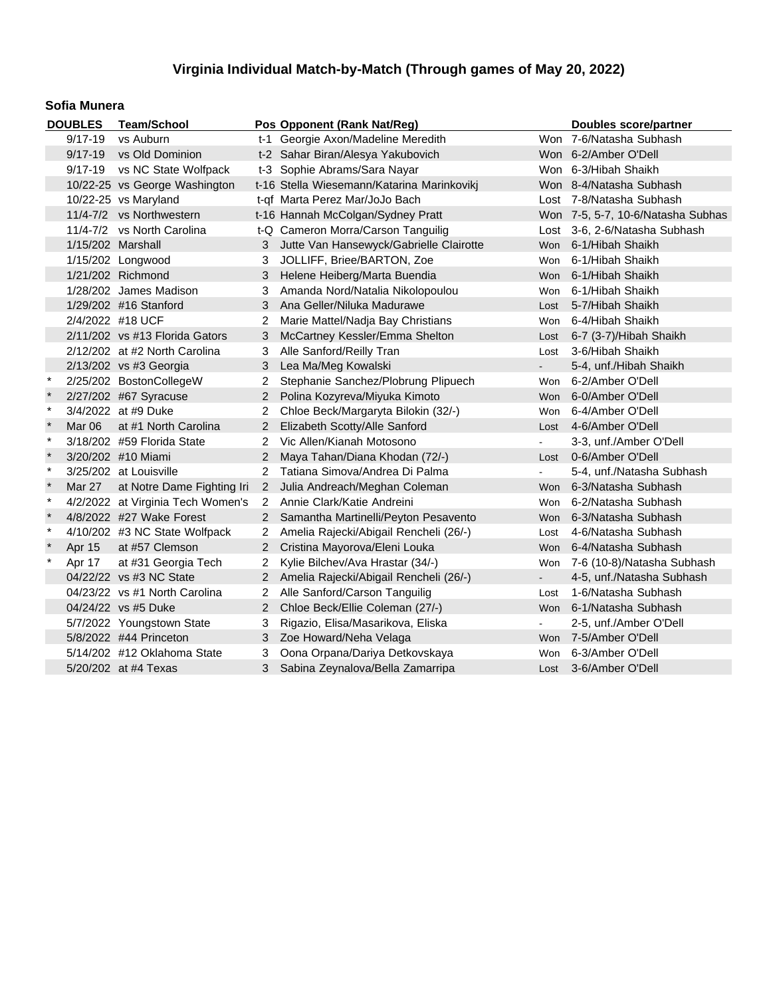#### **Sofia Munera**

| <b>DOUBLES</b> |                   | <b>Team/School</b>                |                      | Pos Opponent (Rank Nat/Reg)                |            | <b>Doubles score/partner</b>      |
|----------------|-------------------|-----------------------------------|----------------------|--------------------------------------------|------------|-----------------------------------|
|                | $9/17 - 19$       | vs Auburn                         |                      | t-1 Georgie Axon/Madeline Meredith         |            | Won 7-6/Natasha Subhash           |
|                | $9/17 - 19$       | vs Old Dominion                   |                      | t-2 Sahar Biran/Alesya Yakubovich          |            | Won 6-2/Amber O'Dell              |
|                | $9/17 - 19$       | vs NC State Wolfpack              |                      | t-3 Sophie Abrams/Sara Nayar               |            | Won 6-3/Hibah Shaikh              |
|                |                   | 10/22-25 vs George Washington     |                      | t-16 Stella Wiesemann/Katarina Marinkovikj |            | Won 8-4/Natasha Subhash           |
|                |                   | 10/22-25 vs Maryland              |                      | t-qf Marta Perez Mar/JoJo Bach             |            | Lost 7-8/Natasha Subhash          |
|                |                   | 11/4-7/2 vs Northwestern          |                      | t-16 Hannah McColgan/Sydney Pratt          |            | Won 7-5, 5-7, 10-6/Natasha Subhas |
|                |                   | 11/4-7/2 vs North Carolina        |                      | t-Q Cameron Morra/Carson Tanguilig         |            | Lost 3-6, 2-6/Natasha Subhash     |
|                | 1/15/202 Marshall |                                   |                      | Jutte Van Hansewyck/Gabrielle Clairotte    | <b>Won</b> | 6-1/Hibah Shaikh                  |
|                |                   | 1/15/202 Longwood                 | 3                    | JOLLIFF, Briee/BARTON, Zoe                 | <b>Won</b> | 6-1/Hibah Shaikh                  |
|                |                   | 1/21/202 Richmond                 | 3                    | Helene Heiberg/Marta Buendia               | <b>Won</b> | 6-1/Hibah Shaikh                  |
|                |                   | 1/28/202 James Madison            | 3                    | Amanda Nord/Natalia Nikolopoulou           | Won        | 6-1/Hibah Shaikh                  |
|                |                   | 1/29/202 #16 Stanford             |                      | Ana Geller/Niluka Madurawe                 | Lost       | 5-7/Hibah Shaikh                  |
|                |                   | 2/4/2022 #18 UCF                  |                      | Marie Mattel/Nadja Bay Christians          | <b>Won</b> | 6-4/Hibah Shaikh                  |
|                |                   | $2/11/202$ vs #13 Florida Gators  | 3                    | McCartney Kessler/Emma Shelton             | Lost       | 6-7 (3-7)/Hibah Shaikh            |
|                |                   | 2/12/202 at #2 North Carolina     | 3                    | Alle Sanford/Reilly Tran                   | Lost       | 3-6/Hibah Shaikh                  |
|                |                   | 2/13/202 vs #3 Georgia            | 3                    | Lea Ma/Meg Kowalski                        |            | 5-4, unf./Hibah Shaikh            |
| $\ast$         |                   | 2/25/202 BostonCollegeW           |                      | Stephanie Sanchez/Plobrung Plipuech        | Won        | 6-2/Amber O'Dell                  |
|                |                   | 2/27/202 #67 Syracuse             | $\overline{2}$       | Polina Kozyreva/Miyuka Kimoto              | <b>Won</b> | 6-0/Amber O'Dell                  |
| $\ast$         |                   | 3/4/2022 at #9 Duke               | 2                    | Chloe Beck/Margaryta Bilokin (32/-)        | <b>Won</b> | 6-4/Amber O'Dell                  |
| $\star$        | Mar 06            | at #1 North Carolina              | 2                    | Elizabeth Scotty/Alle Sanford              | Lost       | 4-6/Amber O'Dell                  |
| $\star$        |                   | 3/18/202 #59 Florida State        | 2                    | Vic Allen/Kianah Motosono                  |            | 3-3, unf./Amber O'Dell            |
| $\star$        |                   | 3/20/202 #10 Miami                | $\overline{2}$       | Maya Tahan/Diana Khodan (72/-)             | Lost       | 0-6/Amber O'Dell                  |
| $\star$        |                   | 3/25/202 at Louisville            | 2                    | Tatiana Simova/Andrea Di Palma             |            | 5-4, unf./Natasha Subhash         |
| $\star$        | Mar 27            | at Notre Dame Fighting Iri        | $2^{\circ}$          | Julia Andreach/Meghan Coleman              | <b>Won</b> | 6-3/Natasha Subhash               |
| $\ast$         |                   | 4/2/2022 at Virginia Tech Women's | $\overline{2}$       | Annie Clark/Katie Andreini                 | <b>Won</b> | 6-2/Natasha Subhash               |
|                |                   | 4/8/2022 #27 Wake Forest          | $\overline{2}$       | Samantha Martinelli/Peyton Pesavento       | <b>Won</b> | 6-3/Natasha Subhash               |
| $\ast$         |                   | 4/10/202 #3 NC State Wolfpack     | $\overline{2}$       | Amelia Rajecki/Abigail Rencheli (26/-)     | Lost       | 4-6/Natasha Subhash               |
| $\ast$         | Apr 15            | at #57 Clemson                    | $\overline{2}$       | Cristina Mayorova/Eleni Louka              | <b>Won</b> | 6-4/Natasha Subhash               |
| $\star$        | Apr 17            | at #31 Georgia Tech               | $\overline{2}$       | Kylie Bilchev/Ava Hrastar (34/-)           | Won        | 7-6 (10-8)/Natasha Subhash        |
|                |                   | 04/22/22 vs #3 NC State           | $\mathbf{2}^{\circ}$ | Amelia Rajecki/Abigail Rencheli (26/-)     | $\sim$     | 4-5, unf./Natasha Subhash         |
|                |                   | 04/23/22 vs #1 North Carolina     | $\mathbf{2}^{\circ}$ | Alle Sanford/Carson Tanguilig              | Lost       | 1-6/Natasha Subhash               |
|                |                   | 04/24/22 vs #5 Duke               | $\mathbf{2}^{\circ}$ | Chloe Beck/Ellie Coleman (27/-)            |            | Won 6-1/Natasha Subhash           |
|                |                   | 5/7/2022 Youngstown State         | 3                    | Rigazio, Elisa/Masarikova, Eliska          |            | 2-5, unf./Amber O'Dell            |
|                |                   | 5/8/2022 #44 Princeton            | 3                    | Zoe Howard/Neha Velaga                     |            | Won 7-5/Amber O'Dell              |
|                |                   | 5/14/202 #12 Oklahoma State       | 3                    | Oona Orpana/Dariya Detkovskaya             | Won        | 6-3/Amber O'Dell                  |
|                |                   | 5/20/202 at #4 Texas              | 3                    | Sabina Zeynalova/Bella Zamarripa           |            | Lost 3-6/Amber O'Dell             |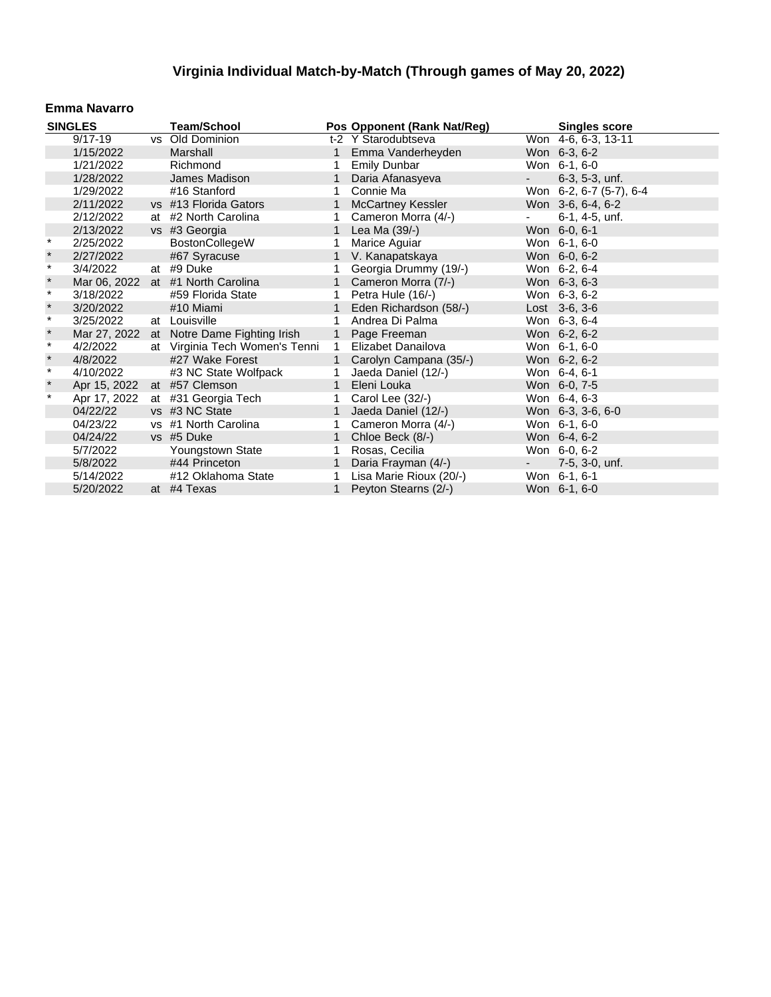### **Emma Navarro**

| <b>SINGLES</b> |                             | <b>Team/School</b>                        |              | Pos Opponent (Rank Nat/Reg) |                     | <b>Singles score</b>    |
|----------------|-----------------------------|-------------------------------------------|--------------|-----------------------------|---------------------|-------------------------|
|                | $9/17 - 19$                 | vs Old Dominion                           |              | t-2 Y Starodubtseva         |                     | Won 4-6, 6-3, 13-11     |
|                | 1/15/2022                   | Marshall                                  |              | 1 Emma Vanderheyden         |                     | Won 6-3, 6-2            |
|                | 1/21/2022                   | Richmond                                  | $\mathbf 1$  | <b>Emily Dunbar</b>         |                     | Won 6-1, 6-0            |
|                | 1/28/2022                   | James Madison                             | $\mathbf{1}$ | Daria Afanasyeva            | $\omega_{\rm{max}}$ | $6-3, 5-3, \text{unf.}$ |
|                | 1/29/2022                   | #16 Stanford                              | 1            | Connie Ma                   |                     | Won 6-2, 6-7 (5-7), 6-4 |
|                | 2/11/2022                   | vs #13 Florida Gators                     | $\mathbf{1}$ | <b>McCartney Kessler</b>    |                     | Won 3-6, 6-4, 6-2       |
|                | 2/12/2022                   | at #2 North Carolina                      | $\mathbf{1}$ | Cameron Morra (4/-)         | $\sim 10$           | 6-1, 4-5, unf.          |
|                | 2/13/2022                   | vs #3 Georgia                             | $\mathbf{1}$ | Lea Ma (39/-)               |                     | Won 6-0, 6-1            |
| $^\star$       | 2/25/2022                   | <b>BostonCollegeW</b>                     | 1            | Marice Aguiar               |                     | Won 6-1, 6-0            |
| $\ast$         | 2/27/2022                   | #67 Syracuse                              |              | V. Kanapatskaya             |                     | Won 6-0, 6-2            |
| $\star$        | 3/4/2022                    | at #9 Duke                                |              | Georgia Drummy (19/-)       |                     | Won 6-2, 6-4            |
| $\ast$         | Mar 06, 2022                | at #1 North Carolina                      | $\mathbf{1}$ | Cameron Morra (7/-)         |                     | Won 6-3, 6-3            |
| $\star$        | 3/18/2022                   | #59 Florida State                         | 1            | Petra Hule (16/-)           |                     | Won 6-3, 6-2            |
| $\ast$         | 3/20/2022                   | #10 Miami                                 | 1            | Eden Richardson (58/-)      |                     | Lost $3-6, 3-6$         |
| $\star$        | 3/25/2022                   | at Louisville                             | 1            | Andrea Di Palma             |                     | Won 6-3, 6-4            |
| $\star$        |                             | Mar 27, 2022 at Notre Dame Fighting Irish |              | 1 Page Freeman              |                     | Won 6-2, 6-2            |
| $\ast$         | 4/2/2022                    | at Virginia Tech Women's Tenni            | $\mathbf{1}$ | Elizabet Danailova          |                     | Won 6-1, 6-0            |
| $\star$        | 4/8/2022                    | #27 Wake Forest                           | $\mathbf{1}$ | Carolyn Campana (35/-)      |                     | Won 6-2, 6-2            |
| $\star$        | 4/10/2022                   | #3 NC State Wolfpack                      | 1            | Jaeda Daniel (12/-)         |                     | Won 6-4, 6-1            |
| $\star$        | Apr 15, 2022 at #57 Clemson |                                           | $\mathbf{1}$ | Eleni Louka                 |                     | Won 6-0, 7-5            |
| $^\star$       | Apr 17, 2022                | at #31 Georgia Tech                       | 1            | Carol Lee (32/-)            |                     | Won 6-4, 6-3            |
|                | 04/22/22                    | vs #3 NC State                            | $\mathbf{1}$ | Jaeda Daniel (12/-)         |                     | Won 6-3, 3-6, 6-0       |
|                | 04/23/22                    | vs #1 North Carolina                      | 1            | Cameron Morra (4/-)         |                     | Won 6-1, 6-0            |
|                | 04/24/22                    | vs #5 Duke                                |              | Chloe Beck (8/-)            |                     | Won 6-4, 6-2            |
|                | 5/7/2022                    | Youngstown State                          | 1            | Rosas, Cecilia              |                     | Won 6-0, 6-2            |
|                | 5/8/2022                    | #44 Princeton                             | 1            | Daria Frayman (4/-)         | $\sim 10$           | $7-5, 3-0, \text{unf.}$ |
|                | 5/14/2022                   | #12 Oklahoma State                        | 1            | Lisa Marie Rioux (20/-)     |                     | Won 6-1, 6-1            |
|                | 5/20/2022                   | at #4 Texas                               | $\mathbf{1}$ | Peyton Stearns (2/-)        |                     | Won 6-1, 6-0            |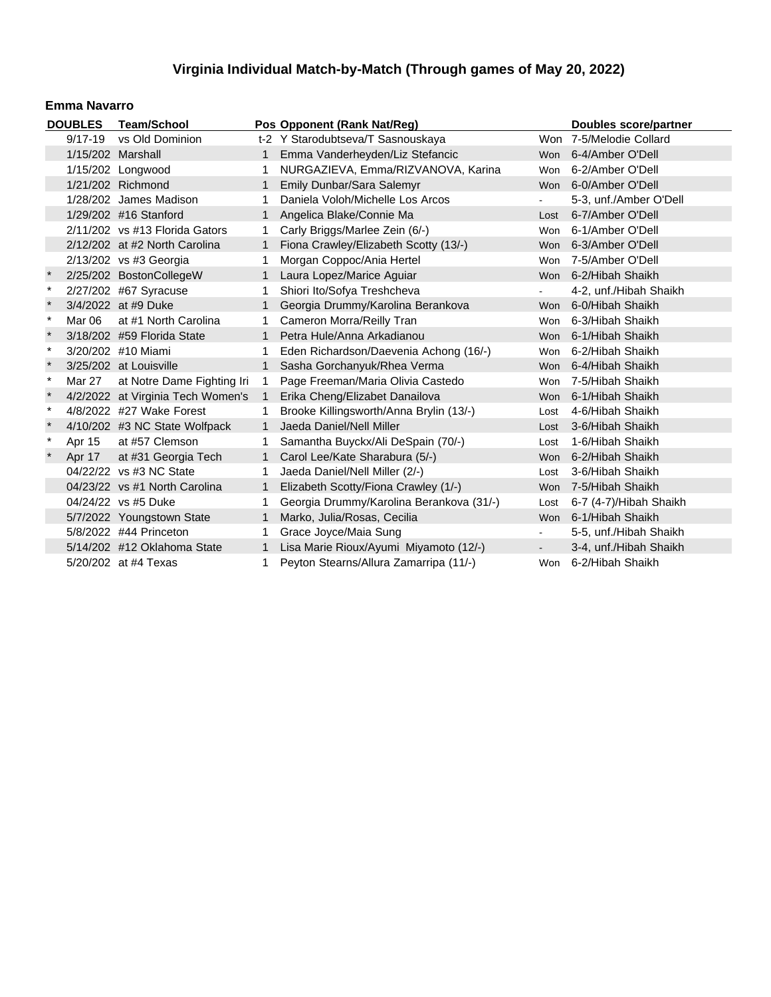#### **Emma Navarro**

|         | <b>DOUBLES</b>    | <b>Team/School</b>                |                | Pos Opponent (Rank Nat/Reg)              |        | <b>Doubles score/partner</b> |
|---------|-------------------|-----------------------------------|----------------|------------------------------------------|--------|------------------------------|
|         | $9/17 - 19$       | vs Old Dominion                   |                | t-2 Y Starodubtseva/T Sasnouskaya        |        | Won 7-5/Melodie Collard      |
|         | 1/15/202 Marshall |                                   |                | Emma Vanderheyden/Liz Stefancic          |        | Won 6-4/Amber O'Dell         |
|         |                   | 1/15/202 Longwood                 | 1              | NURGAZIEVA, Emma/RIZVANOVA, Karina       | Won    | 6-2/Amber O'Dell             |
|         |                   | 1/21/202 Richmond                 | $\mathbf{1}$   | Emily Dunbar/Sara Salemyr                |        | Won 6-0/Amber O'Dell         |
|         |                   | 1/28/202 James Madison            | 1.             | Daniela Voloh/Michelle Los Arcos         | ÷.     | 5-3, unf./Amber O'Dell       |
|         |                   | 1/29/202 #16 Stanford             | $\mathbf{1}$   | Angelica Blake/Connie Ma                 | Lost   | 6-7/Amber O'Dell             |
|         |                   | $2/11/202$ vs #13 Florida Gators  | 1.             | Carly Briggs/Marlee Zein (6/-)           | Won    | 6-1/Amber O'Dell             |
|         |                   | 2/12/202 at #2 North Carolina     | $\mathbf{1}$   | Fiona Crawley/Elizabeth Scotty (13/-)    | Won    | 6-3/Amber O'Dell             |
|         |                   | 2/13/202 vs #3 Georgia            | 1.             | Morgan Coppoc/Ania Hertel                | Won    | 7-5/Amber O'Dell             |
|         |                   | 2/25/202 BostonCollegeW           | $\mathbf{1}$   | Laura Lopez/Marice Aguiar                |        | Won 6-2/Hibah Shaikh         |
| $\ast$  |                   | 2/27/202 #67 Syracuse             | 1.             | Shiori Ito/Sofya Treshcheva              | ÷.     | 4-2, unf./Hibah Shaikh       |
|         |                   | 3/4/2022 at #9 Duke               | $\mathbf{1}$   | Georgia Drummy/Karolina Berankova        |        | Won 6-0/Hibah Shaikh         |
| $\ast$  | Mar 06            | at #1 North Carolina              | 1.             | Cameron Morra/Reilly Tran                | Won    | 6-3/Hibah Shaikh             |
|         |                   | 3/18/202 #59 Florida State        | $\mathbf{1}$   | Petra Hule/Anna Arkadianou               |        | Won 6-1/Hibah Shaikh         |
| $\star$ |                   | 3/20/202 #10 Miami                |                | Eden Richardson/Daevenia Achong (16/-)   | Won    | 6-2/Hibah Shaikh             |
| $\star$ |                   | 3/25/202 at Louisville            | $\mathbf{1}$   | Sasha Gorchanyuk/Rhea Verma              |        | Won 6-4/Hibah Shaikh         |
| $\ast$  | Mar 27            | at Notre Dame Fighting Iri        | $\mathbf 1$    | Page Freeman/Maria Olivia Castedo        | Won    | 7-5/Hibah Shaikh             |
| $\star$ |                   | 4/2/2022 at Virginia Tech Women's | $\overline{1}$ | Erika Cheng/Elizabet Danailova           |        | Won 6-1/Hibah Shaikh         |
| $\ast$  |                   | 4/8/2022 #27 Wake Forest          |                | Brooke Killingsworth/Anna Brylin (13/-)  | Lost   | 4-6/Hibah Shaikh             |
| $\star$ |                   | 4/10/202 #3 NC State Wolfpack     | $\mathbf{1}$   | Jaeda Daniel/Nell Miller                 |        | Lost 3-6/Hibah Shaikh        |
| $\ast$  | Apr 15            | at #57 Clemson                    | 1              | Samantha Buyckx/Ali DeSpain (70/-)       | Lost   | 1-6/Hibah Shaikh             |
| $\star$ | Apr 17            | at #31 Georgia Tech               | $\mathbf{1}$   | Carol Lee/Kate Sharabura (5/-)           | Won    | 6-2/Hibah Shaikh             |
|         |                   | 04/22/22 vs #3 NC State           |                | Jaeda Daniel/Nell Miller (2/-)           | Lost   | 3-6/Hibah Shaikh             |
|         |                   | 04/23/22 vs #1 North Carolina     | 1              | Elizabeth Scotty/Fiona Crawley (1/-)     |        | Won 7-5/Hibah Shaikh         |
|         |                   | 04/24/22 vs #5 Duke               |                | Georgia Drummy/Karolina Berankova (31/-) | Lost   | 6-7 (4-7)/Hibah Shaikh       |
|         |                   | 5/7/2022 Youngstown State         | $\mathbf{1}$   | Marko, Julia/Rosas, Cecilia              |        | Won 6-1/Hibah Shaikh         |
|         |                   | 5/8/2022 #44 Princeton            |                | Grace Joyce/Maia Sung                    | $\sim$ | 5-5, unf./Hibah Shaikh       |
|         |                   | 5/14/202 #12 Oklahoma State       | $\mathbf{1}$   | Lisa Marie Rioux/Ayumi Miyamoto (12/-)   |        | 3-4, unf./Hibah Shaikh       |
|         |                   | 5/20/202 at #4 Texas              | 1.             | Peyton Stearns/Allura Zamarripa (11/-)   |        | Won 6-2/Hibah Shaikh         |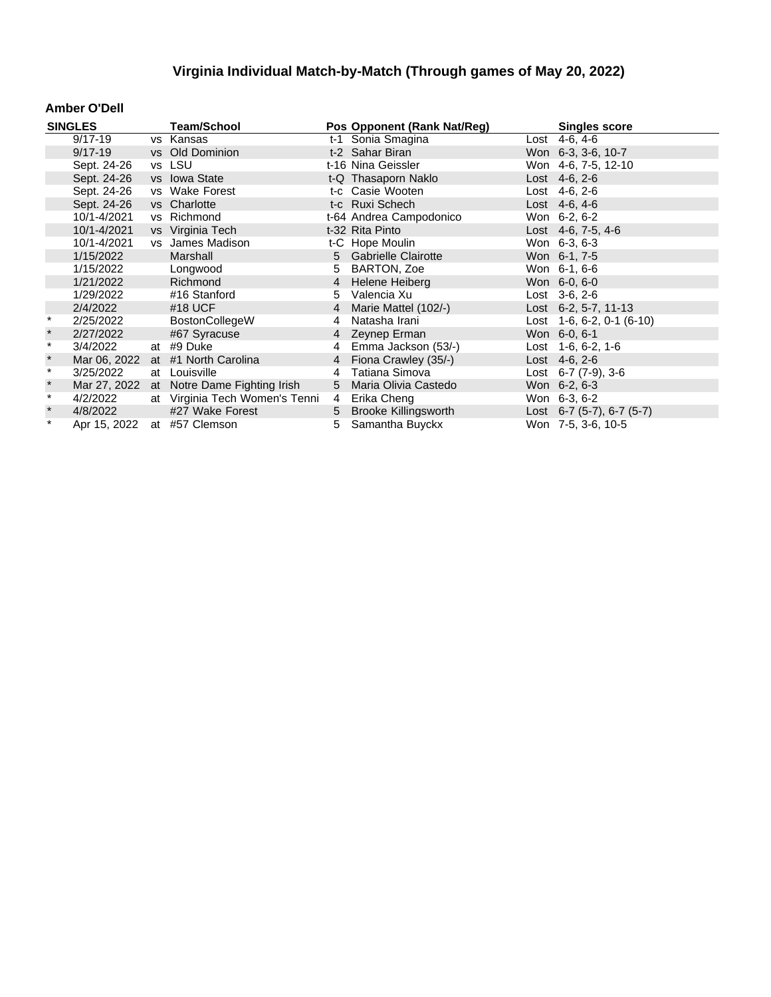### **Amber O'Dell**

|          | <b>SINGLES</b> | <b>Team/School</b>             |    | Pos Opponent (Rank Nat/Reg) | <b>Singles score</b>          |
|----------|----------------|--------------------------------|----|-----------------------------|-------------------------------|
|          | $9/17 - 19$    | vs Kansas                      |    | t-1 Sonia Smagina           | Lost $4-6, 4-6$               |
|          | $9/17 - 19$    | vs Old Dominion                |    | t-2 Sahar Biran             | Won 6-3, 3-6, 10-7            |
|          | Sept. 24-26    | vs LSU                         |    | t-16 Nina Geissler          | Won 4-6, 7-5, 12-10           |
|          | Sept. 24-26    | vs Iowa State                  |    | t-Q Thasaporn Naklo         | Lost $4-6, 2-6$               |
|          | Sept. 24-26    | vs Wake Forest                 |    | t-c Casie Wooten            | Lost 4-6, 2-6                 |
|          | Sept. 24-26    | vs Charlotte                   |    | t-c Ruxi Schech             | Lost 4-6, 4-6                 |
|          | 10/1-4/2021    | vs Richmond                    |    | t-64 Andrea Campodonico     | Won 6-2, 6-2                  |
|          | 10/1-4/2021    | vs Virginia Tech               |    | t-32 Rita Pinto             | Lost 4-6, 7-5, 4-6            |
|          | 10/1-4/2021    | vs James Madison               |    | t-C Hope Moulin             | Won 6-3, 6-3                  |
|          | 1/15/2022      | Marshall                       |    | 5 Gabrielle Clairotte       | Won 6-1, 7-5                  |
|          | 1/15/2022      | Longwood                       | 5  | BARTON, Zoe                 | Won 6-1, 6-6                  |
|          | 1/21/2022      | Richmond                       | 4  | Helene Heiberg              | Won 6-0, 6-0                  |
|          | 1/29/2022      | #16 Stanford                   | 5. | Valencia Xu                 | Lost 3-6, 2-6                 |
|          | 2/4/2022       | #18 UCF                        | 4  | Marie Mattel (102/-)        | Lost $6-2, 5-7, 11-13$        |
| $^\star$ | 2/25/2022      | <b>BostonCollegeW</b>          | 4  | Natasha Irani               | Lost $1-6, 6-2, 0-1$ (6-10)   |
| $\star$  | 2/27/2022      | #67 Syracuse                   |    | 4 Zeynep Erman              | Won 6-0, 6-1                  |
| $\star$  | 3/4/2022       | at #9 Duke                     | 4  | Emma Jackson (53/-)         | Lost $1-6, 6-2, 1-6$          |
| $\ast$   | Mar 06, 2022   | at #1 North Carolina           |    | 4 Fiona Crawley (35/-)      | Lost $4-6, 2-6$               |
| $\star$  | 3/25/2022      | at Louisville                  | 4  | Tatiana Simova              | Lost $6-7$ $(7-9)$ , $3-6$    |
| $\ast$   | Mar 27, 2022   | at Notre Dame Fighting Irish   |    | 5 Maria Olivia Castedo      | Won 6-2, 6-3                  |
| $\star$  | 4/2/2022       | at Virginia Tech Women's Tenni | 4  | Erika Cheng                 | Won 6-3, 6-2                  |
| $\ast$   | 4/8/2022       | #27 Wake Forest                |    | 5 Brooke Killingsworth      | Lost $6-7$ (5-7), $6-7$ (5-7) |
| $\star$  | Apr 15, 2022   | at #57 Clemson                 | 5  | Samantha Buyckx             | Won 7-5, 3-6, 10-5            |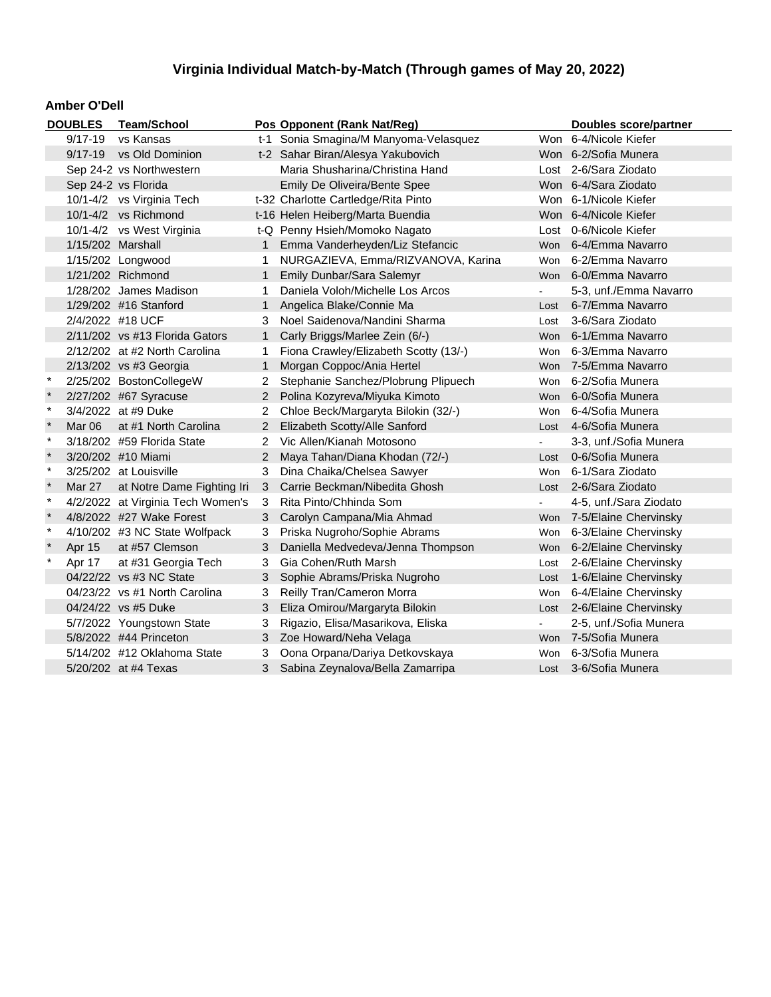#### **Amber O'Dell**

|              | <b>DOUBLES</b>           | <b>Team/School</b>                |                | Pos Opponent (Rank Nat/Reg)           |                | <b>Doubles score/partner</b> |
|--------------|--------------------------|-----------------------------------|----------------|---------------------------------------|----------------|------------------------------|
|              | $9/17 - 19$              | vs Kansas                         |                | t-1 Sonia Smagina/M Manyoma-Velasquez |                | Won 6-4/Nicole Kiefer        |
|              | 9/17-19 vs Old Dominion  |                                   |                | t-2 Sahar Biran/Alesya Yakubovich     |                | Won 6-2/Sofia Munera         |
|              | Sep 24-2 vs Northwestern |                                   |                | Maria Shusharina/Christina Hand       |                | Lost 2-6/Sara Ziodato        |
|              |                          | Sep 24-2 vs Florida               |                | Emily De Oliveira/Bente Spee          |                | Won 6-4/Sara Ziodato         |
|              |                          | 10/1-4/2 vs Virginia Tech         |                | t-32 Charlotte Cartledge/Rita Pinto   |                | Won 6-1/Nicole Kiefer        |
|              |                          | 10/1-4/2 vs Richmond              |                | t-16 Helen Heiberg/Marta Buendia      |                | Won 6-4/Nicole Kiefer        |
|              |                          | 10/1-4/2 vs West Virginia         |                | t-Q Penny Hsieh/Momoko Nagato         |                | Lost 0-6/Nicole Kiefer       |
|              | 1/15/202 Marshall        |                                   | 1.             | Emma Vanderheyden/Liz Stefancic       |                | Won 6-4/Emma Navarro         |
|              |                          | 1/15/202 Longwood                 | 1              | NURGAZIEVA, Emma/RIZVANOVA, Karina    | Won            | 6-2/Emma Navarro             |
|              |                          | 1/21/202 Richmond                 | 1              | Emily Dunbar/Sara Salemyr             |                | Won 6-0/Emma Navarro         |
|              |                          | 1/28/202 James Madison            | 1.             | Daniela Voloh/Michelle Los Arcos      |                | 5-3, unf./Emma Navarro       |
|              |                          | 1/29/202 #16 Stanford             | 1.             | Angelica Blake/Connie Ma              | Lost           | 6-7/Emma Navarro             |
|              |                          | 2/4/2022 #18 UCF                  | 3.             | Noel Saidenova/Nandini Sharma         | Lost           | 3-6/Sara Ziodato             |
|              |                          | 2/11/202 vs #13 Florida Gators    | 1              | Carly Briggs/Marlee Zein (6/-)        |                | Won 6-1/Emma Navarro         |
|              |                          | 2/12/202 at #2 North Carolina     | 1.             | Fiona Crawley/Elizabeth Scotty (13/-) | Won            | 6-3/Emma Navarro             |
|              |                          | 2/13/202 vs #3 Georgia            | 1              | Morgan Coppoc/Ania Hertel             |                | Won 7-5/Emma Navarro         |
|              |                          | 2/25/202 BostonCollegeW           | 2              | Stephanie Sanchez/Plobrung Plipuech   | Won            | 6-2/Sofia Munera             |
|              |                          | 2/27/202 #67 Syracuse             | 2              | Polina Kozyreva/Miyuka Kimoto         | Won            | 6-0/Sofia Munera             |
| $\ast$       |                          | 3/4/2022 at #9 Duke               | 2              | Chloe Beck/Margaryta Bilokin (32/-)   | Won            | 6-4/Sofia Munera             |
|              | Mar <sub>06</sub>        | at #1 North Carolina              | 2              | Elizabeth Scotty/Alle Sanford         | Lost           | 4-6/Sofia Munera             |
| $\ast$       |                          | 3/18/202 #59 Florida State        | 2              | Vic Allen/Kianah Motosono             | $\blacksquare$ | 3-3, unf./Sofia Munera       |
| $\star$      |                          | 3/20/202 #10 Miami                | $\overline{2}$ | Maya Tahan/Diana Khodan (72/-)        | Lost           | 0-6/Sofia Munera             |
| $\star$      |                          | 3/25/202 at Louisville            | 3              | Dina Chaika/Chelsea Sawyer            | Won            | 6-1/Sara Ziodato             |
| $\pmb{\ast}$ | Mar 27                   | at Notre Dame Fighting Iri        | 3              | Carrie Beckman/Nibedita Ghosh         | Lost           | 2-6/Sara Ziodato             |
| $\ast$       |                          | 4/2/2022 at Virginia Tech Women's | 3              | Rita Pinto/Chhinda Som                |                | 4-5, unf./Sara Ziodato       |
| $\star$      |                          | 4/8/2022 #27 Wake Forest          | 3              | Carolyn Campana/Mia Ahmad             |                | Won 7-5/Elaine Chervinsky    |
| $\ast$       |                          | 4/10/202 #3 NC State Wolfpack     | 3              | Priska Nugroho/Sophie Abrams          | Won            | 6-3/Elaine Chervinsky        |
|              | Apr 15                   | at #57 Clemson                    | 3              | Daniella Medvedeva/Jenna Thompson     |                | Won 6-2/Elaine Chervinsky    |
| $\pmb{\ast}$ | Apr 17                   | at #31 Georgia Tech               | 3              | Gia Cohen/Ruth Marsh                  | Lost           | 2-6/Elaine Chervinsky        |
|              |                          | 04/22/22 vs #3 NC State           | 3              | Sophie Abrams/Priska Nugroho          | Lost           | 1-6/Elaine Chervinsky        |
|              |                          | 04/23/22 vs #1 North Carolina     | 3              | Reilly Tran/Cameron Morra             | Won            | 6-4/Elaine Chervinsky        |
|              |                          | 04/24/22 vs #5 Duke               | 3              | Eliza Omirou/Margaryta Bilokin        |                | Lost 2-6/Elaine Chervinsky   |
|              |                          | 5/7/2022 Youngstown State         | 3              | Rigazio, Elisa/Masarikova, Eliska     |                | 2-5, unf./Sofia Munera       |
|              |                          | 5/8/2022 #44 Princeton            | 3              | Zoe Howard/Neha Velaga                |                | Won 7-5/Sofia Munera         |
|              |                          | 5/14/202 #12 Oklahoma State       | 3              | Oona Orpana/Dariya Detkovskaya        | Won            | 6-3/Sofia Munera             |
|              |                          | 5/20/202 at #4 Texas              | 3              | Sabina Zeynalova/Bella Zamarripa      |                | Lost 3-6/Sofia Munera        |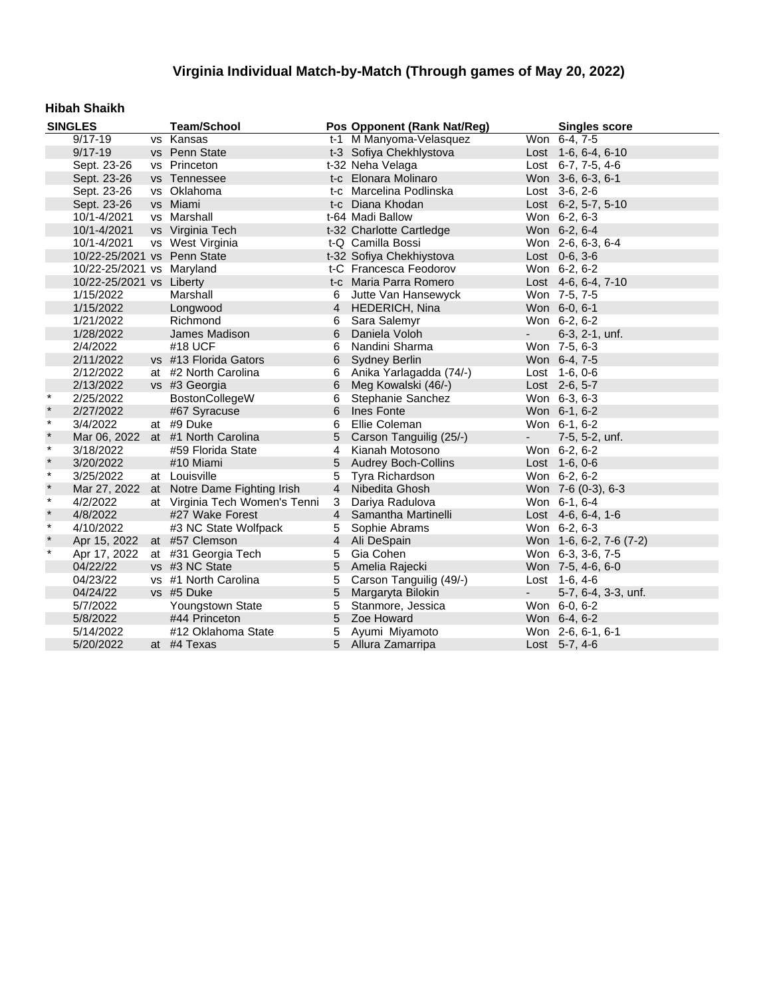### **Hibah Shaikh**

|         | <b>SINGLES</b>              | <b>Team/School</b>                        |                | Pos Opponent (Rank Nat/Reg) |                          | <b>Singles score</b>    |
|---------|-----------------------------|-------------------------------------------|----------------|-----------------------------|--------------------------|-------------------------|
|         | $9/17 - 19$                 | vs Kansas                                 |                | t-1 M Manyoma-Velasquez     |                          | Won 6-4, 7-5            |
|         | $9/17 - 19$                 | vs Penn State                             |                | t-3 Sofiya Chekhlystova     |                          | Lost 1-6, 6-4, 6-10     |
|         | Sept. 23-26                 | vs Princeton                              |                | t-32 Neha Velaga            |                          | Lost 6-7, 7-5, 4-6      |
|         | Sept. 23-26                 | vs Tennessee                              |                | t-c Elonara Molinaro        |                          | Won 3-6, 6-3, 6-1       |
|         | Sept. 23-26                 | vs Oklahoma                               |                | t-c Marcelina Podlinska     |                          | Lost $3-6$ , $2-6$      |
|         | Sept. 23-26                 | vs Miami                                  |                | t-c Diana Khodan            |                          | Lost 6-2, 5-7, 5-10     |
|         | 10/1-4/2021                 | vs Marshall                               |                | t-64 Madi Ballow            |                          | Won 6-2, 6-3            |
|         | 10/1-4/2021                 | vs Virginia Tech                          |                | t-32 Charlotte Cartledge    |                          | Won 6-2, 6-4            |
|         | 10/1-4/2021                 | vs West Virginia                          |                | t-Q Camilla Bossi           |                          | Won 2-6, 6-3, 6-4       |
|         | 10/22-25/2021 vs Penn State |                                           |                | t-32 Sofiya Chekhiystova    |                          | Lost $0-6, 3-6$         |
|         | 10/22-25/2021 vs Maryland   |                                           |                | t-C Francesca Feodorov      |                          | Won 6-2, 6-2            |
|         | 10/22-25/2021 vs Liberty    |                                           |                | t-c Maria Parra Romero      |                          | Lost 4-6, 6-4, 7-10     |
|         | 1/15/2022                   | Marshall                                  | 6              | Jutte Van Hansewyck         |                          | Won 7-5, 7-5            |
|         | 1/15/2022                   | Longwood                                  | $\overline{4}$ | HEDERICH, Nina              |                          | Won 6-0, 6-1            |
|         | 1/21/2022                   | Richmond                                  | 6              | Sara Salemyr                |                          | Won 6-2, 6-2            |
|         | 1/28/2022                   | James Madison                             | 6              | Daniela Voloh               | $\overline{\phantom{a}}$ | 6-3, 2-1, unf.          |
|         | 2/4/2022                    | #18 UCF                                   | 6              | Nandini Sharma              |                          | Won 7-5, 6-3            |
|         | 2/11/2022                   | vs #13 Florida Gators                     | 6              | <b>Sydney Berlin</b>        |                          | Won 6-4, 7-5            |
|         | 2/12/2022                   | at #2 North Carolina                      | 6              | Anika Yarlagadda (74/-)     |                          | Lost 1-6, 0-6           |
|         | 2/13/2022                   | vs #3 Georgia                             | 6              | Meg Kowalski (46/-)         |                          | Lost 2-6, 5-7           |
| $\star$ | 2/25/2022                   | BostonCollegeW                            | 6              | Stephanie Sanchez           |                          | Won 6-3, 6-3            |
| $\star$ | 2/27/2022                   | #67 Syracuse                              | 6              | Ines Fonte                  |                          | Won 6-1, 6-2            |
| $\star$ | 3/4/2022                    | at #9 Duke                                | 6              | Ellie Coleman               |                          | Won 6-1, 6-2            |
| $\star$ |                             | Mar 06, 2022 at #1 North Carolina         | $\overline{5}$ | Carson Tanguilig (25/-)     | $\sim$                   | 7-5, 5-2, unf.          |
| $\star$ | 3/18/2022                   | #59 Florida State                         | $\overline{4}$ | Kianah Motosono             |                          | Won 6-2, 6-2            |
| $\star$ | 3/20/2022                   | #10 Miami                                 | 5              | <b>Audrey Boch-Collins</b>  |                          | Lost 1-6, 0-6           |
| $\star$ | 3/25/2022                   | at Louisville                             | 5              | Tyra Richardson             |                          | Won 6-2, 6-2            |
| $\star$ |                             | Mar 27, 2022 at Notre Dame Fighting Irish | $\overline{4}$ | Nibedita Ghosh              |                          | Won 7-6 (0-3), 6-3      |
| $\star$ | 4/2/2022                    | at Virginia Tech Women's Tenni            | 3              | Dariya Radulova             |                          | Won 6-1, 6-4            |
| $\star$ | 4/8/2022                    | #27 Wake Forest                           |                | 4 Samantha Martinelli       |                          | Lost 4-6, 6-4, 1-6      |
| $\star$ | 4/10/2022                   | #3 NC State Wolfpack                      | 5              | Sophie Abrams               |                          | Won 6-2, 6-3            |
| $\star$ | Apr 15, 2022                | at #57 Clemson                            | $\overline{4}$ | Ali DeSpain                 |                          | Won 1-6, 6-2, 7-6 (7-2) |
| $\star$ | Apr 17, 2022                | at #31 Georgia Tech                       | 5              | Gia Cohen                   |                          | Won 6-3, 3-6, 7-5       |
|         | 04/22/22                    | vs #3 NC State                            | 5              | Amelia Rajecki              |                          | Won 7-5, 4-6, 6-0       |
|         | 04/23/22                    | vs #1 North Carolina                      | 5              | Carson Tanguilig (49/-)     |                          | Lost 1-6, 4-6           |
|         | 04/24/22                    | vs #5 Duke                                | $\sqrt{5}$     | Margaryta Bilokin           | $\sim$                   | 5-7, 6-4, 3-3, unf.     |
|         | 5/7/2022                    | Youngstown State                          | 5              | Stanmore, Jessica           |                          | Won 6-0, 6-2            |
|         | 5/8/2022                    | #44 Princeton                             | 5              | Zoe Howard                  |                          | Won 6-4, 6-2            |
|         | 5/14/2022                   | #12 Oklahoma State                        | 5              | Ayumi Miyamoto              |                          | Won 2-6, 6-1, 6-1       |
|         | 5/20/2022                   | at #4 Texas                               |                | 5 Allura Zamarripa          |                          | Lost 5-7, 4-6           |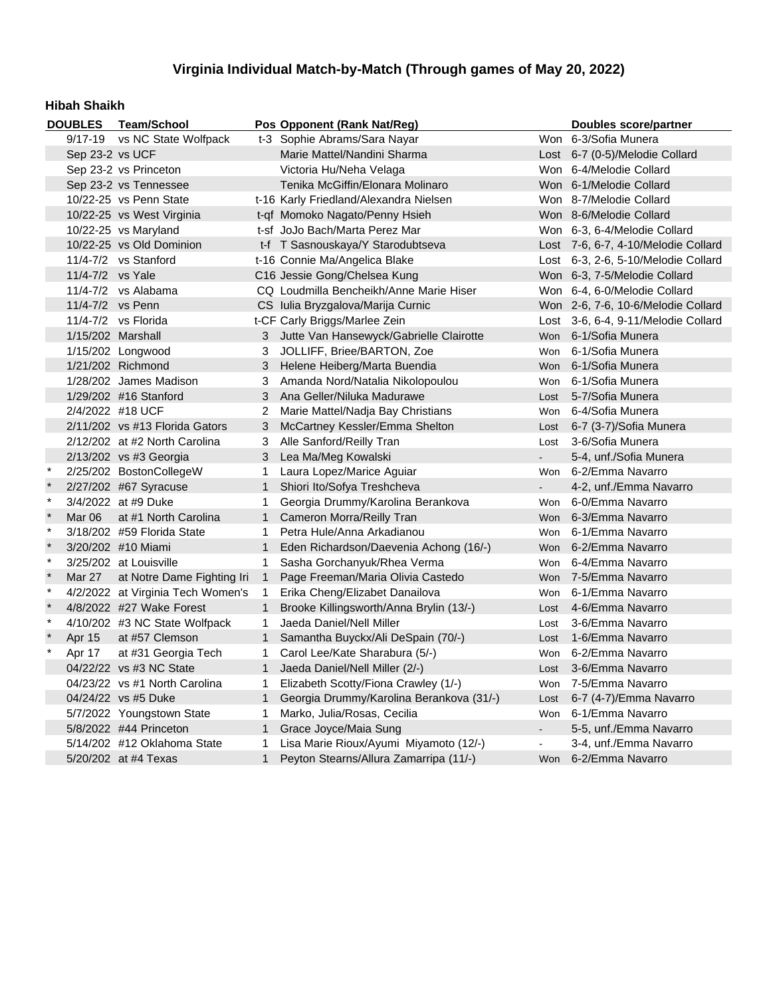### **Hibah Shaikh**

| <b>DOUBLES</b><br>Team/School |                   |                                                      |              | Pos Opponent (Rank Nat/Reg)               |                | Doubles score/partner               |
|-------------------------------|-------------------|------------------------------------------------------|--------------|-------------------------------------------|----------------|-------------------------------------|
|                               | $9/17 - 19$       | vs NC State Wolfpack<br>t-3 Sophie Abrams/Sara Nayar |              | Won 6-3/Sofia Munera                      |                |                                     |
|                               | Sep 23-2 vs UCF   |                                                      |              | Marie Mattel/Nandini Sharma               |                | Lost 6-7 (0-5)/Melodie Collard      |
|                               |                   | Sep 23-2 vs Princeton                                |              | Victoria Hu/Neha Velaga                   |                | Won 6-4/Melodie Collard             |
|                               |                   | Sep 23-2 vs Tennessee                                |              | Tenika McGiffin/Elonara Molinaro          |                | Won 6-1/Melodie Collard             |
|                               |                   | 10/22-25 vs Penn State                               |              | t-16 Karly Friedland/Alexandra Nielsen    |                | Won 8-7/Melodie Collard             |
|                               |                   | 10/22-25 vs West Virginia                            |              | t-qf Momoko Nagato/Penny Hsieh            |                | Won 8-6/Melodie Collard             |
|                               |                   | 10/22-25 vs Maryland                                 |              | t-sf JoJo Bach/Marta Perez Mar            |                | Won 6-3, 6-4/Melodie Collard        |
|                               |                   | 10/22-25 vs Old Dominion                             |              | t-f T Sasnouskaya/Y Starodubtseva         |                | Lost 7-6, 6-7, 4-10/Melodie Collard |
|                               |                   | 11/4-7/2 vs Stanford                                 |              | t-16 Connie Ma/Angelica Blake             |                | Lost 6-3, 2-6, 5-10/Melodie Collard |
|                               | 11/4-7/2 vs Yale  |                                                      |              | C16 Jessie Gong/Chelsea Kung              |                | Won 6-3, 7-5/Melodie Collard        |
|                               |                   | $11/4 - 7/2$ vs Alabama                              |              | CQ Loudmilla Bencheikh/Anne Marie Hiser   |                | Won 6-4, 6-0/Melodie Collard        |
|                               | 11/4-7/2 vs Penn  |                                                      |              | CS Iulia Bryzgalova/Marija Curnic         |                | Won 2-6, 7-6, 10-6/Melodie Collard  |
|                               |                   | 11/4-7/2 vs Florida                                  |              | t-CF Carly Briggs/Marlee Zein             |                | Lost 3-6, 6-4, 9-11/Melodie Collard |
|                               | 1/15/202 Marshall |                                                      |              | 3 Jutte Van Hansewyck/Gabrielle Clairotte |                | Won 6-1/Sofia Munera                |
|                               |                   | 1/15/202 Longwood                                    | 3            | JOLLIFF, Briee/BARTON, Zoe                | Won            | 6-1/Sofia Munera                    |
|                               |                   | 1/21/202 Richmond                                    | 3            | Helene Heiberg/Marta Buendia              |                | Won 6-1/Sofia Munera                |
|                               |                   | 1/28/202 James Madison                               | 3            | Amanda Nord/Natalia Nikolopoulou          | Won            | 6-1/Sofia Munera                    |
|                               |                   | 1/29/202 #16 Stanford                                | 3            | Ana Geller/Niluka Madurawe                | Lost           | 5-7/Sofia Munera                    |
|                               | 2/4/2022 #18 UCF  |                                                      | 2            | Marie Mattel/Nadja Bay Christians         | Won            | 6-4/Sofia Munera                    |
|                               |                   | $2/11/202$ vs #13 Florida Gators                     | 3            | McCartney Kessler/Emma Shelton            |                | Lost 6-7 (3-7)/Sofia Munera         |
|                               |                   | 2/12/202 at #2 North Carolina                        | 3            | Alle Sanford/Reilly Tran                  | Lost           | 3-6/Sofia Munera                    |
|                               |                   | $2/13/202$ vs #3 Georgia                             | 3            | Lea Ma/Meg Kowalski                       | $\blacksquare$ | 5-4, unf./Sofia Munera              |
| $\star$                       |                   | 2/25/202 BostonCollegeW                              | 1            | Laura Lopez/Marice Aguiar                 |                | Won 6-2/Emma Navarro                |
| $\pmb{\ast}$                  |                   | 2/27/202 #67 Syracuse                                | $\mathbf{1}$ | Shiori Ito/Sofya Treshcheva               | $\blacksquare$ | 4-2, unf./Emma Navarro              |
| $\star$                       |                   | 3/4/2022 at #9 Duke                                  | 1            | Georgia Drummy/Karolina Berankova         |                | Won 6-0/Emma Navarro                |
| $\star$                       | Mar 06            | at #1 North Carolina                                 | $\mathbf{1}$ | Cameron Morra/Reilly Tran                 |                | Won 6-3/Emma Navarro                |
| $\star$                       |                   | 3/18/202 #59 Florida State                           | 1            | Petra Hule/Anna Arkadianou                |                | Won 6-1/Emma Navarro                |
| $\star$                       |                   | 3/20/202 #10 Miami                                   | $\mathbf{1}$ | Eden Richardson/Daevenia Achong (16/-)    |                | Won 6-2/Emma Navarro                |
| $\pmb{\ast}$                  |                   | 3/25/202 at Louisville                               | 1            | Sasha Gorchanyuk/Rhea Verma               | Won            | 6-4/Emma Navarro                    |
| $\star$                       | Mar 27            | at Notre Dame Fighting Iri                           | $\mathbf{1}$ | Page Freeman/Maria Olivia Castedo         |                | Won 7-5/Emma Navarro                |
| $\ast$                        |                   | 4/2/2022 at Virginia Tech Women's                    | $\mathbf{1}$ | Erika Cheng/Elizabet Danailova            | Won            | 6-1/Emma Navarro                    |
| $\pmb{\ast}$                  |                   | 4/8/2022 #27 Wake Forest                             | $\mathbf{1}$ | Brooke Killingsworth/Anna Brylin (13/-)   | Lost           | 4-6/Emma Navarro                    |
| $\pmb{\ast}$                  |                   | 4/10/202 #3 NC State Wolfpack                        | 1            | Jaeda Daniel/Nell Miller                  | Lost           | 3-6/Emma Navarro                    |
| $\pmb{\ast}$                  | Apr 15            | at #57 Clemson                                       | $\mathbf{1}$ | Samantha Buyckx/Ali DeSpain (70/-)        | Lost           | 1-6/Emma Navarro                    |
| $\star$                       | Apr 17            | at #31 Georgia Tech                                  | $\mathbf{1}$ | Carol Lee/Kate Sharabura (5/-)            | Won            | 6-2/Emma Navarro                    |
|                               |                   | 04/22/22 vs #3 NC State                              | $\mathbf{1}$ | Jaeda Daniel/Nell Miller (2/-)            | Lost           | 3-6/Emma Navarro                    |
|                               |                   | 04/23/22 vs #1 North Carolina                        | 1            | Elizabeth Scotty/Fiona Crawley (1/-)      | Won            | 7-5/Emma Navarro                    |
|                               |                   | 04/24/22 vs #5 Duke                                  | 1            | Georgia Drummy/Karolina Berankova (31/-)  | Lost           | 6-7 (4-7)/Emma Navarro              |
|                               |                   | 5/7/2022 Youngstown State                            | 1            | Marko, Julia/Rosas, Cecilia               | Won            | 6-1/Emma Navarro                    |
|                               |                   | 5/8/2022 #44 Princeton                               | $\mathbf{1}$ | Grace Joyce/Maia Sung                     | $\blacksquare$ | 5-5, unf./Emma Navarro              |
|                               |                   | 5/14/202 #12 Oklahoma State                          | 1            | Lisa Marie Rioux/Ayumi Miyamoto (12/-)    | $\blacksquare$ | 3-4, unf./Emma Navarro              |
|                               |                   | 5/20/202 at #4 Texas                                 | $\mathbf{1}$ | Peyton Stearns/Allura Zamarripa (11/-)    |                | Won 6-2/Emma Navarro                |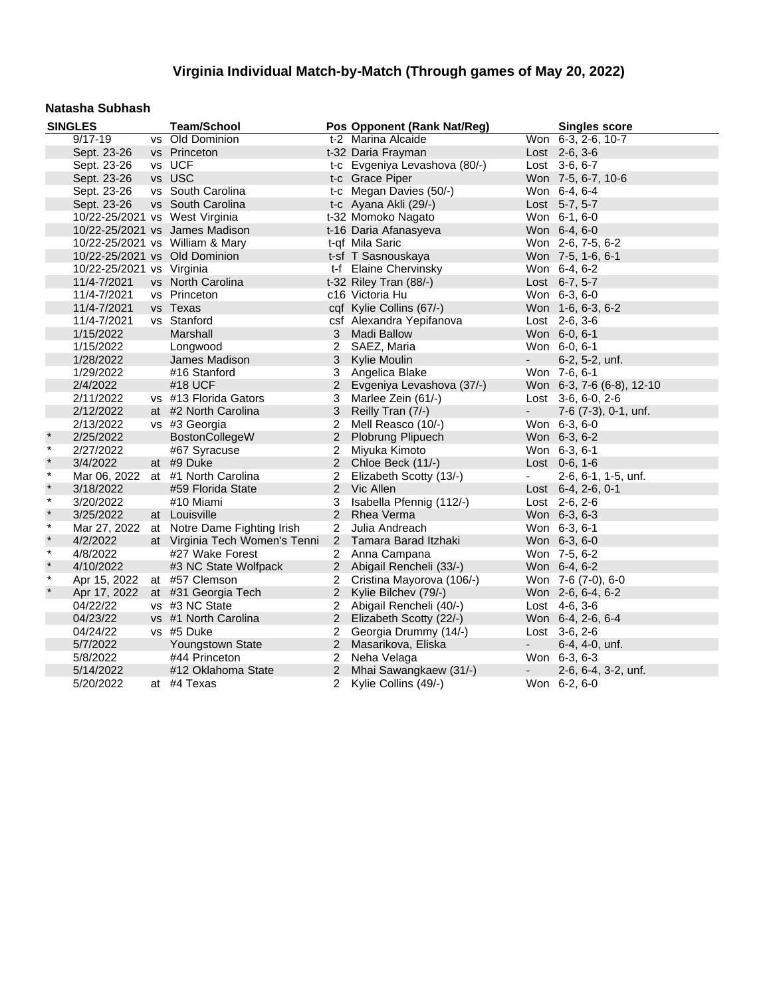#### **Natasha Subhash**

|         | <b>SINGLES</b>                 | <b>Team/School</b>                |                | Pos Opponent (Rank Nat/Reg)   |                          | <b>Singles score</b>      |
|---------|--------------------------------|-----------------------------------|----------------|-------------------------------|--------------------------|---------------------------|
|         | $9/17 - 19$                    | vs Old Dominion                   |                | t-2 Marina Alcaide            |                          | Won 6-3, 2-6, 10-7        |
|         | Sept. 23-26                    | vs Princeton                      |                | t-32 Daria Frayman            |                          | Lost 2-6, 3-6             |
|         | Sept. 23-26                    | vs UCF                            |                | t-c Evgeniya Levashova (80/-) |                          | Lost 3-6, 6-7             |
|         | Sept. 23-26                    | vs USC                            |                | t-c Grace Piper               |                          | Won 7-5, 6-7, 10-6        |
|         | Sept. 23-26                    | vs South Carolina                 |                | t-c Megan Davies (50/-)       |                          | Won 6-4, 6-4              |
|         | Sept. 23-26                    | vs South Carolina                 |                | t-c Ayana Akli (29/-)         |                          | Lost 5-7, 5-7             |
|         | 10/22-25/2021 vs West Virginia |                                   |                | t-32 Momoko Nagato            |                          | Won 6-1, 6-0              |
|         |                                | 10/22-25/2021 vs James Madison    |                | t-16 Daria Afanasyeva         |                          | Won 6-4, 6-0              |
|         |                                | 10/22-25/2021 vs William & Mary   |                | t-qf Mila Saric               |                          | Won 2-6, 7-5, 6-2         |
|         |                                | 10/22-25/2021 vs Old Dominion     |                | t-sf T Sasnouskaya            |                          | Won 7-5, 1-6, 6-1         |
|         | 10/22-25/2021 vs Virginia      |                                   |                | t-f Elaine Chervinsky         |                          | Won 6-4, 6-2              |
|         | 11/4-7/2021                    | vs North Carolina                 |                | t-32 Riley Tran (88/-)        |                          | Lost 6-7, 5-7             |
|         | 11/4-7/2021                    | vs Princeton                      |                | c16 Victoria Hu               |                          | Won 6-3, 6-0              |
|         | 11/4-7/2021                    | vs Texas                          |                | cqf Kylie Collins (67/-)      |                          | Won 1-6, 6-3, 6-2         |
|         | 11/4-7/2021                    | vs Stanford                       |                | csf Alexandra Yepifanova      |                          | Lost 2-6, 3-6             |
|         | 1/15/2022                      | Marshall                          | 3              | <b>Madi Ballow</b>            |                          | Won 6-0, 6-1              |
|         | 1/15/2022                      | Longwood                          | 2              | SAEZ, Maria                   |                          | Won 6-0, 6-1              |
|         | 1/28/2022                      | James Madison                     | 3 <sup>1</sup> | Kylie Moulin                  | $\sim$                   | 6-2, 5-2, unf.            |
|         | 1/29/2022                      | #16 Stanford                      | 3              | Angelica Blake                |                          | Won 7-6, 6-1              |
|         | 2/4/2022                       | #18 UCF                           | $\overline{2}$ | Evgeniya Levashova (37/-)     |                          | Won 6-3, 7-6 (6-8), 12-10 |
|         | 2/11/2022                      | vs #13 Florida Gators             | 3              | Marlee Zein (61/-)            |                          | Lost 3-6, 6-0, 2-6        |
|         | 2/12/2022                      | at #2 North Carolina              | 3              | Reilly Tran (7/-)             | $\overline{\phantom{a}}$ | 7-6 (7-3), 0-1, unf.      |
|         | 2/13/2022                      | vs #3 Georgia                     | $2^{\circ}$    | Mell Reasco (10/-)            |                          | Won 6-3, 6-0              |
| $\star$ | 2/25/2022                      | <b>BostonCollegeW</b>             |                | 2 Plobrung Plipuech           |                          | Won 6-3, 6-2              |
| $\star$ | 2/27/2022                      | #67 Syracuse                      | 2              | Miyuka Kimoto                 |                          | Won 6-3, 6-1              |
| $\star$ | 3/4/2022                       | at #9 Duke                        | $\overline{2}$ | Chloe Beck (11/-)             |                          | Lost 0-6, 1-6             |
| $\star$ |                                | Mar 06, 2022 at #1 North Carolina | $\overline{2}$ | Elizabeth Scotty (13/-)       | $\blacksquare$           | 2-6, 6-1, 1-5, unf.       |
| $\star$ | 3/18/2022                      | #59 Florida State                 |                | 2 Vic Allen                   |                          | Lost 6-4, 2-6, 0-1        |
| $\star$ | 3/20/2022                      | #10 Miami                         | 3              | Isabella Pfennig (112/-)      |                          | Lost 2-6, 2-6             |
| $\star$ | 3/25/2022                      | at Louisville                     | 2              | <b>Rhea Verma</b>             |                          | Won 6-3, 6-3              |
| $\star$ | Mar 27, 2022                   | at Notre Dame Fighting Irish      | $\overline{2}$ | Julia Andreach                |                          | Won 6-3, 6-1              |
| $\star$ | 4/2/2022                       | at Virginia Tech Women's Tenni    | $\overline{2}$ | Tamara Barad Itzhaki          |                          | Won 6-3, 6-0              |
| $\star$ | 4/8/2022                       | #27 Wake Forest                   | $\mathbf{2}^-$ | Anna Campana                  |                          | Won 7-5, 6-2              |
| $\star$ | 4/10/2022                      | #3 NC State Wolfpack              |                | 2 Abigail Rencheli (33/-)     |                          | Won 6-4, 6-2              |
| $\star$ | Apr 15, 2022                   | at #57 Clemson                    | $\overline{2}$ | Cristina Mayorova (106/-)     |                          | Won 7-6 (7-0), 6-0        |
| $\star$ | Apr 17, 2022                   | at #31 Georgia Tech               | $2^{\circ}$    | Kylie Bilchev (79/-)          |                          | Won 2-6, 6-4, 6-2         |
|         | 04/22/22                       | vs #3 NC State                    | $\overline{2}$ | Abigail Rencheli (40/-)       |                          | Lost 4-6, 3-6             |
|         | 04/23/22                       | vs #1 North Carolina              |                | 2 Elizabeth Scotty (22/-)     |                          | Won 6-4, 2-6, 6-4         |
|         | 04/24/22                       | vs #5 Duke                        | 2              | Georgia Drummy (14/-)         |                          | Lost 3-6, 2-6             |
|         | 5/7/2022                       | Youngstown State                  | $\overline{2}$ | Masarikova, Eliska            | $\overline{\phantom{a}}$ | 6-4, 4-0, unf.            |
|         | 5/8/2022                       | #44 Princeton                     | $\overline{2}$ | Neha Velaga                   |                          | Won 6-3, 6-3              |
|         | 5/14/2022                      | #12 Oklahoma State                | $\overline{2}$ | Mhai Sawangkaew (31/-)        | -                        | 2-6, 6-4, 3-2, unf.       |
|         | 5/20/2022                      | at #4 Texas                       |                | 2 Kylie Collins (49/-)        |                          | Won 6-2, 6-0              |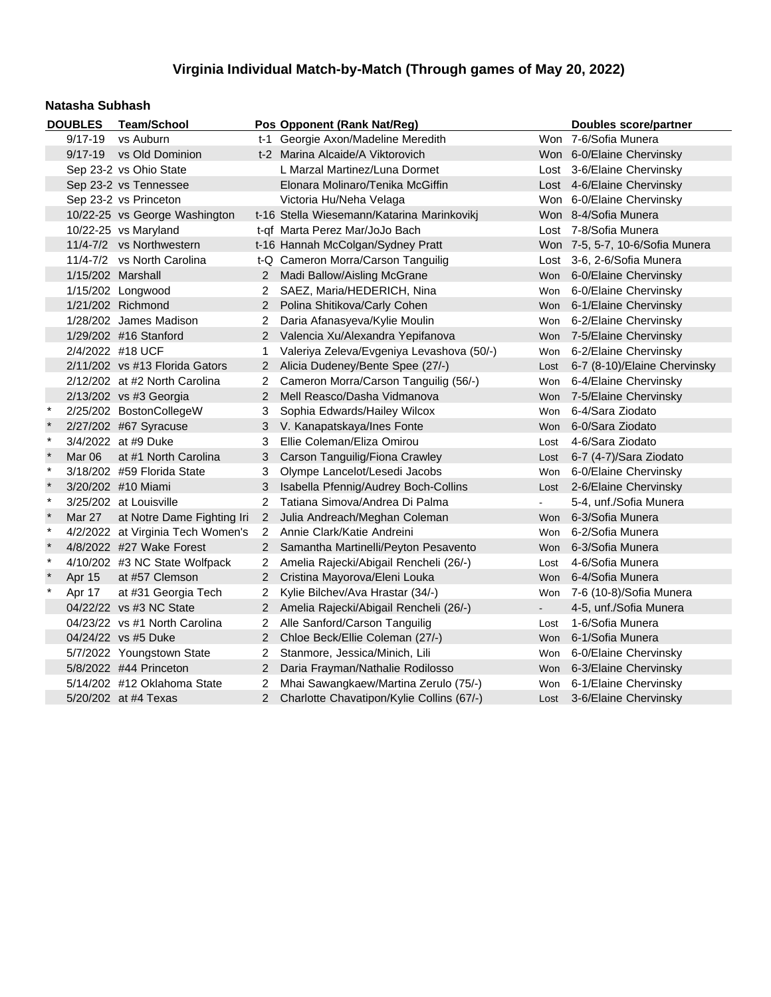#### **Natasha Subhash**

|              | <b>DOUBLES</b>         | <b>Team/School</b>                |                       | Pos Opponent (Rank Nat/Reg)                |                | Doubles score/partner           |
|--------------|------------------------|-----------------------------------|-----------------------|--------------------------------------------|----------------|---------------------------------|
|              | $9/17 - 19$            | vs Auburn                         |                       | t-1 Georgie Axon/Madeline Meredith         |                | Won 7-6/Sofia Munera            |
|              | $9/17 - 19$            | vs Old Dominion                   |                       | t-2 Marina Alcaide/A Viktorovich           |                | Won 6-0/Elaine Chervinsky       |
|              | Sep 23-2 vs Ohio State |                                   |                       | L Marzal Martinez/Luna Dormet              |                | Lost 3-6/Elaine Chervinsky      |
|              |                        | Sep 23-2 vs Tennessee             |                       | Elonara Molinaro/Tenika McGiffin           |                | Lost 4-6/Elaine Chervinsky      |
|              |                        | Sep 23-2 vs Princeton             |                       | Victoria Hu/Neha Velaga                    |                | Won 6-0/Elaine Chervinsky       |
|              |                        | 10/22-25 vs George Washington     |                       | t-16 Stella Wiesemann/Katarina Marinkovikj |                | Won 8-4/Sofia Munera            |
|              |                        | 10/22-25 vs Maryland              |                       | t-qf Marta Perez Mar/JoJo Bach             |                | Lost 7-8/Sofia Munera           |
|              |                        | 11/4-7/2 vs Northwestern          |                       | t-16 Hannah McColgan/Sydney Pratt          |                | Won 7-5, 5-7, 10-6/Sofia Munera |
|              |                        | 11/4-7/2 vs North Carolina        |                       | t-Q Cameron Morra/Carson Tanguilig         |                | Lost 3-6, 2-6/Sofia Munera      |
|              | 1/15/202 Marshall      |                                   |                       | 2 Madi Ballow/Aisling McGrane              | Won            | 6-0/Elaine Chervinsky           |
|              |                        | 1/15/202 Longwood                 | $^{2}$                | SAEZ, Maria/HEDERICH, Nina                 | Won            | 6-0/Elaine Chervinsky           |
|              |                        | 1/21/202 Richmond                 | $\overline{2}$        | Polina Shitikova/Carly Cohen               |                | Won 6-1/Elaine Chervinsky       |
|              |                        | 1/28/202 James Madison            | 2                     | Daria Afanasyeva/Kylie Moulin              |                | Won 6-2/Elaine Chervinsky       |
|              |                        | 1/29/202 #16 Stanford             |                       | 2 Valencia Xu/Alexandra Yepifanova         | <b>Won</b>     | 7-5/Elaine Chervinsky           |
|              | 2/4/2022 #18 UCF       |                                   | 1                     | Valeriya Zeleva/Evgeniya Levashova (50/-)  | Won            | 6-2/Elaine Chervinsky           |
|              |                        | $2/11/202$ vs #13 Florida Gators  | $\mathbf{2}^{\prime}$ | Alicia Dudeney/Bente Spee (27/-)           | Lost           | 6-7 (8-10)/Elaine Chervinsky    |
|              |                        | 2/12/202 at #2 North Carolina     | 2                     | Cameron Morra/Carson Tanguilig (56/-)      | Won            | 6-4/Elaine Chervinsky           |
|              |                        | 2/13/202 vs #3 Georgia            | $\overline{2}$        | Mell Reasco/Dasha Vidmanova                | <b>Won</b>     | 7-5/Elaine Chervinsky           |
| $\ast$       |                        | 2/25/202 BostonCollegeW           | 3                     | Sophia Edwards/Hailey Wilcox               | Won            | 6-4/Sara Ziodato                |
| $\ast$       |                        | 2/27/202 #67 Syracuse             | 3                     | V. Kanapatskaya/Ines Fonte                 | <b>Won</b>     | 6-0/Sara Ziodato                |
| $\star$      |                        | 3/4/2022 at #9 Duke               | 3                     | Ellie Coleman/Eliza Omirou                 | Lost           | 4-6/Sara Ziodato                |
| $\star$      | Mar 06                 | at #1 North Carolina              | 3                     | Carson Tanguilig/Fiona Crawley             | Lost           | 6-7 (4-7)/Sara Ziodato          |
| $\star$      |                        | 3/18/202 #59 Florida State        | 3                     | Olympe Lancelot/Lesedi Jacobs              | Won            | 6-0/Elaine Chervinsky           |
|              |                        | 3/20/202 #10 Miami                | 3                     | Isabella Pfennig/Audrey Boch-Collins       | Lost           | 2-6/Elaine Chervinsky           |
| $\star$      |                        | 3/25/202 at Louisville            | $\mathbf{2}$          | Tatiana Simova/Andrea Di Palma             |                | 5-4, unf./Sofia Munera          |
| $\ast$       | <b>Mar 27</b>          | at Notre Dame Fighting Iri        |                       | 2 Julia Andreach/Meghan Coleman            |                | Won 6-3/Sofia Munera            |
| $\star$      |                        | 4/2/2022 at Virginia Tech Women's |                       | 2 Annie Clark/Katie Andreini               | Won            | 6-2/Sofia Munera                |
| $\pmb{\ast}$ |                        | 4/8/2022 #27 Wake Forest          |                       | 2 Samantha Martinelli/Peyton Pesavento     | <b>Won</b>     | 6-3/Sofia Munera                |
| $\star$      |                        | 4/10/202 #3 NC State Wolfpack     | 2                     | Amelia Rajecki/Abigail Rencheli (26/-)     | Lost           | 4-6/Sofia Munera                |
| $\pmb{\ast}$ | Apr 15                 | at #57 Clemson                    | $\overline{2}$        | Cristina Mayorova/Eleni Louka              | <b>Won</b>     | 6-4/Sofia Munera                |
| $\pmb{\ast}$ | Apr 17                 | at #31 Georgia Tech               | 2                     | Kylie Bilchev/Ava Hrastar (34/-)           | Won            | 7-6 (10-8)/Sofia Munera         |
|              |                        | 04/22/22 vs #3 NC State           |                       | Amelia Rajecki/Abigail Rencheli (26/-)     | $\blacksquare$ | 4-5, unf./Sofia Munera          |
|              |                        | 04/23/22 vs #1 North Carolina     | 2                     | Alle Sanford/Carson Tanguilig              | Lost           | 1-6/Sofia Munera                |
|              |                        | 04/24/22 vs #5 Duke               | 2                     | Chloe Beck/Ellie Coleman (27/-)            | <b>Won</b>     | 6-1/Sofia Munera                |
|              |                        | 5/7/2022 Youngstown State         | 2                     | Stanmore, Jessica/Minich, Lili             | Won            | 6-0/Elaine Chervinsky           |
|              |                        | 5/8/2022 #44 Princeton            | $\overline{2}$        | Daria Frayman/Nathalie Rodilosso           | Won            | 6-3/Elaine Chervinsky           |
|              |                        | 5/14/202 #12 Oklahoma State       | 2                     | Mhai Sawangkaew/Martina Zerulo (75/-)      | Won            | 6-1/Elaine Chervinsky           |
|              |                        | 5/20/202 at #4 Texas              | $\overline{2}$        | Charlotte Chavatipon/Kylie Collins (67/-)  | Lost           | 3-6/Elaine Chervinsky           |